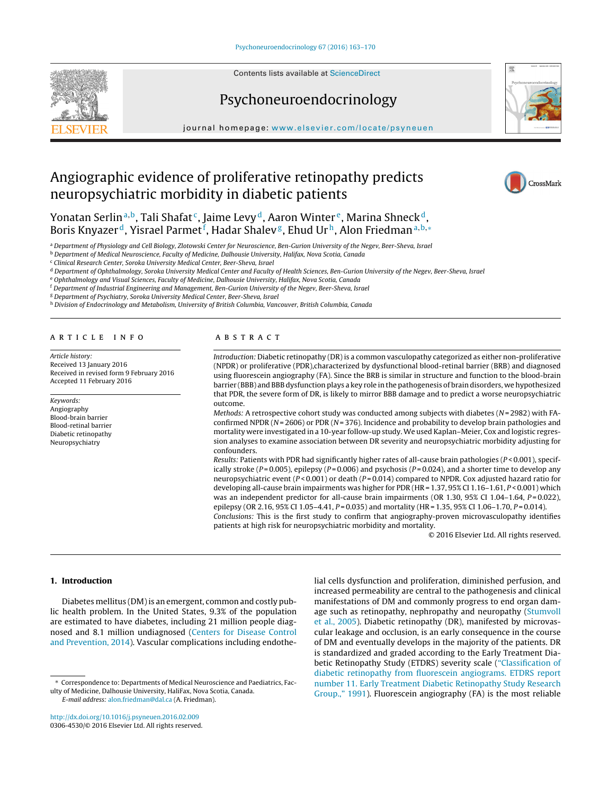Contents lists available at [ScienceDirect](http://www.sciencedirect.com/science/journal/03064530)

# Psychoneuroendocrinology



iournal homepage: [www.elsevier.com/locate/psyneuen](http://www.elsevier.com/locate/psyneuen)

# Angiographic evidence of proliferative retinopathy predicts neuropsychiatric morbidity in diabetic patients



Yonatan Serlin<sup>a,b</sup>, Tali Shafat<sup>c</sup>, Jaime Levy<sup>d</sup>, Aaron Winter<sup>e</sup>, Marina Shneck<sup>d</sup>, Boris Knyazer <sup>d</sup>, Yisrael Parmet <sup>f</sup>, Hadar Shalev <sup>g</sup>, Ehud Ur h, Alon Friedman a,b, $\ast$ 

a Department of Physiology and Cell Biology, Zlotowski Center for Neuroscience, Ben-Gurion University of the Negev, Beer-Sheva, Israel

<sup>b</sup> Department of Medical Neuroscience, Faculty of Medicine, Dalhousie University, Halifax, Nova Scotia, Canada

<sup>c</sup> Clinical Research Center, Soroka University Medical Center, Beer-Sheva, Israel

<sup>d</sup> Department of Ophthalmology, Soroka University Medical Center and Faculty of Health Sciences, Ben-Gurion University of the Negev, Beer-Sheva, Israel

<sup>e</sup> Ophthalmology and Visual Sciences, Faculty of Medicine, Dalhousie University, Halifax, Nova Scotia, Canada

<sup>f</sup> Department of Industrial Engineering and Management, Ben-Gurion University of the Negev, Beer-Sheva, Israel

<sup>g</sup> Department of Psychiatry, Soroka University Medical Center, Beer-Sheva, Israel

h Division of Endocrinology and Metabolism, University of British Columbia, Vancouver, British Columbia, Canada

#### a r t i c l e i n f o

Article history: Received 13 January 2016 Received in revised form 9 February 2016 Accepted 11 February 2016

Keywords: Angiography Blood-brain barrier Blood-retinal barrier Diabetic retinopathy Neuropsychiatry

### A B S T R A C T

Introduction: Diabetic retinopathy (DR)is a common vasculopathy categorized as either non-proliferative (NPDR) or proliferative (PDR),characterized by dysfunctional blood-retinal barrier (BRB) and diagnosed using fluorescein angiography (FA). Since the BRB is similar in structure and function to the blood-brain barrier (BBB) and BBB dysfunction plays a key role in the pathogenesis of brain disorders, we hypothesized that PDR, the severe form of DR, is likely to mirror BBB damage and to predict a worse neuropsychiatric outcome.

Methods: A retrospective cohort study was conducted among subjects with diabetes ( $N = 2982$ ) with FAconfirmed NPDR ( $N = 2606$ ) or PDR ( $N = 376$ ). Incidence and probability to develop brain pathologies and mortality were investigated in a 10-year follow-up study. We used Kaplan–Meier, Cox and logistic regression analyses to examine association between DR severity and neuropsychiatric morbidity adjusting for confounders.

Results: Patients with PDR had significantly higher rates of all-cause brain pathologies ( $P < 0.001$ ), specifically stroke ( $P = 0.005$ ), epilepsy ( $P = 0.006$ ) and psychosis ( $P = 0.024$ ), and a shorter time to develop any neuropsychiatric event  $(P < 0.001)$  or death  $(P = 0.014)$  compared to NPDR. Cox adjusted hazard ratio for developing all-cause brain impairments was higher for PDR (HR = 1.37, 95% CI 1.16-1.61, P < 0.001) which was an independent predictor for all-cause brain impairments (OR 1.30,  $95\%$  CI 1.04–1.64,  $P = 0.022$ ), epilepsy (OR 2.16, 95% CI 1.05–4.41,  $P = 0.035$ ) and mortality (HR = 1.35, 95% CI 1.06–1.70,  $P = 0.014$ ).

Conclusions: This is the first study to confirm that angiography-proven microvasculopathy identifies patients at high risk for neuropsychiatric morbidity and mortality.

© 2016 Elsevier Ltd. All rights reserved.

### **1. Introduction**

Diabetes mellitus (DM) is an emergent, common and costly public health problem. In the United States, 9.3% of the population are estimated to have diabetes, including 21 million people diagnosed and 8.1 million undiagnosed [\(Centers](#page-6-0) [for](#page-6-0) [Disease](#page-6-0) [Control](#page-6-0) [and](#page-6-0) [Prevention,](#page-6-0) [2014\).](#page-6-0) Vascular complications including endothe-

E-mail address: [alon.friedman@dal.ca](mailto:alon.friedman@dal.ca) (A. Friedman).

[http://dx.doi.org/10.1016/j.psyneuen.2016.02.009](dx.doi.org/10.1016/j.psyneuen.2016.02.009) 0306-4530/© 2016 Elsevier Ltd. All rights reserved. lial cells dysfunction and proliferation, diminished perfusion, and increased permeability are central to the pathogenesis and clinical manifestations of DM and commonly progress to end organ dam-age such as retinopathy, nephropathy and neuropathy [\(Stumvoll](#page-7-0) et [al.,](#page-7-0) [2005\).](#page-7-0) Diabetic retinopathy (DR), manifested by microvascular leakage and occlusion, is an early consequence in the course of DM and eventually develops in the majority of the patients. DR is standardized and graded according to the Early Treatment Diabetic Retinopathy Study (ETDRS) severity scale (["Classification](#page-6-0) [of](#page-6-0) [diabetic](#page-6-0) [retinopathy](#page-6-0) [from](#page-6-0) [fluorescein](#page-6-0) [angiograms.](#page-6-0) [ETDRS](#page-6-0) [report](#page-6-0) [number](#page-6-0) [11.](#page-6-0) [Early](#page-6-0) [Treatment](#page-6-0) [Diabetic](#page-6-0) [Retinopathy](#page-6-0) [Study](#page-6-0) [Research](#page-6-0) [Group.,"](#page-6-0) [1991\).](#page-6-0) Fluorescein angiography (FA) is the most reliable

<sup>∗</sup> Correspondence to: Departments of Medical Neuroscience and Paediatrics, Faculty of Medicine, Dalhousie University, HaliFax, Nova Scotia, Canada.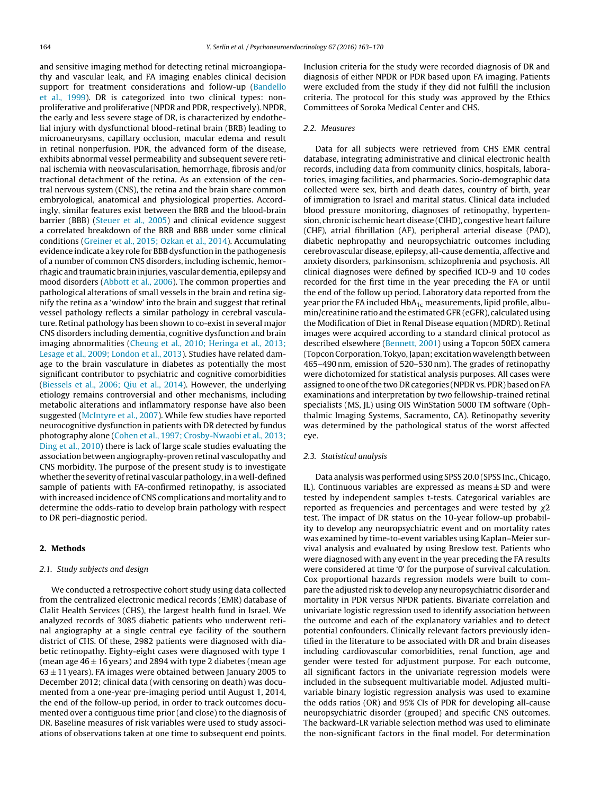and sensitive imaging method for detecting retinal microangiopathy and vascular leak, and FA imaging enables clinical decision support for treatment considerations and follow-up [\(Bandello](#page-6-0) et [al.,](#page-6-0) [1999\).](#page-6-0) DR is categorized into two clinical types: nonproliferative and proliferative (NPDR and PDR, respectively). NPDR, the early and less severe stage of DR, is characterized by endothelial injury with dysfunctional blood-retinal brain (BRB) leading to microaneurysms, capillary occlusion, macular edema and result in retinal nonperfusion. PDR, the advanced form of the disease, exhibits abnormal vessel permeability and subsequent severe retinal ischemia with neovascularisation, hemorrhage, fibrosis and/or tractional detachment of the retina. As an extension of the central nervous system (CNS), the retina and the brain share common embryological, anatomical and physiological properties. Accordingly, similar features exist between the BRB and the blood-brain barrier (BBB) [\(Steuer](#page-7-0) et [al.,](#page-7-0) [2005\)](#page-7-0) and clinical evidence suggest a correlated breakdown of the BRB and BBB under some clinical conditions [\(Greiner](#page-6-0) et [al.,](#page-6-0) [2015;](#page-6-0) [Ozkan](#page-6-0) et [al.,](#page-6-0) [2014\).](#page-6-0) Accumulating evidence indicate a key role for BBB dysfunction in the pathogenesis of a number of common CNS disorders, including ischemic, hemorrhagic and traumatic brain injuries, vascular dementia, epilepsy and mood disorders [\(Abbott](#page-6-0) et [al.,](#page-6-0) [2006\).](#page-6-0) The common properties and pathological alterations of small vessels in the brain and retina signify the retina as a 'window' into the brain and suggest that retinal vessel pathology reflects a similar pathology in cerebral vasculature. Retinal pathology has been shown to co-exist in several major CNS disorders including dementia, cognitive dysfunction and brain imaging abnormalities [\(Cheung](#page-6-0) et [al.,](#page-6-0) [2010;](#page-6-0) [Heringa](#page-6-0) et [al.,](#page-6-0) [2013;](#page-6-0) [Lesage](#page-6-0) et [al.,](#page-6-0) [2009;](#page-6-0) [London](#page-6-0) et [al.,](#page-6-0) [2013\).](#page-6-0) Studies have related damage to the brain vasculature in diabetes as potentially the most significant contributor to psychiatric and cognitive comorbidities ([Biessels](#page-6-0) et [al.,](#page-6-0) [2006;](#page-6-0) [Qiu](#page-6-0) et [al.,](#page-6-0) [2014\).](#page-6-0) However, the underlying etiology remains controversial and other mechanisms, including metabolic alterations and inflammatory response have also been suggested [\(McIntyre](#page-6-0) et [al.,](#page-6-0) [2007\).](#page-6-0) While few studies have reported neurocognitive dysfunction in patients with DR detected by fundus photography alone [\(Cohen](#page-6-0) et [al.,](#page-6-0) [1997;](#page-6-0) [Crosby-Nwaobi](#page-6-0) et [al.,](#page-6-0) [2013;](#page-6-0) [Ding](#page-6-0) et [al.,](#page-6-0) [2010\)](#page-6-0) there is lack of large scale studies evaluating the association between angiography-proven retinal vasculopathy and CNS morbidity. The purpose of the present study is to investigate whether the severity of retinal vascular pathology, in a well-defined sample of patients with FA-confirmed retinopathy, is associated with increased incidence of CNS complications and mortality and to determine the odds-ratio to develop brain pathology with respect to DR peri-diagnostic period.

## **2. Methods**

## 2.1. Study subjects and design

We conducted a retrospective cohort study using data collected from the centralized electronic medical records (EMR) database of Clalit Health Services (CHS), the largest health fund in Israel. We analyzed records of 3085 diabetic patients who underwent retinal angiography at a single central eye facility of the southern district of CHS. Of these, 2982 patients were diagnosed with diabetic retinopathy. Eighty-eight cases were diagnosed with type 1 (mean age  $46 \pm 16$  years) and 2894 with type 2 diabetes (mean age  $63 \pm 11$  years). FA images were obtained between January 2005 to December 2012; clinical data (with censoring on death) was documented from a one-year pre-imaging period until August 1, 2014, the end of the follow-up period, in order to track outcomes documented over a contiguous time prior (and close) to the diagnosis of DR. Baseline measures of risk variables were used to study associations of observations taken at one time to subsequent end points.

Inclusion criteria for the study were recorded diagnosis of DR and diagnosis of either NPDR or PDR based upon FA imaging. Patients were excluded from the study if they did not fulfill the inclusion criteria. The protocol for this study was approved by the Ethics Committees of Soroka Medical Center and CHS.

## 2.2. Measures

Data for all subjects were retrieved from CHS EMR central database, integrating administrative and clinical electronic health records, including data from community clinics, hospitals, laboratories, imaging facilities, and pharmacies. Socio-demographic data collected were sex, birth and death dates, country of birth, year of immigration to Israel and marital status. Clinical data included blood pressure monitoring, diagnoses of retinopathy, hypertension, chronic ischemic heart disease (CIHD), congestive heart failure (CHF), atrial fibrillation (AF), peripheral arterial disease (PAD), diabetic nephropathy and neuropsychiatric outcomes including cerebrovascular disease, epilepsy, all-cause dementia, affective and anxiety disorders, parkinsonism, schizophrenia and psychosis. All clinical diagnoses were defined by specified ICD-9 and 10 codes recorded for the first time in the year preceding the FA or until the end of the follow up period. Laboratory data reported from the year prior the FA included  $HbA_{1c}$  measurements, lipid profile, albumin/creatinine ratio and the estimated GFR (eGFR), calculated using the Modification of Diet in Renal Disease equation (MDRD). Retinal images were acquired according to a standard clinical protocol as described elsewhere ([Bennett,](#page-6-0) [2001\)](#page-6-0) using a Topcon 50EX camera (Topcon Corporation, Tokyo, Japan; excitation wavelength between 465–490 nm, emission of 520–530 nm). The grades of retinopathy were dichotomized for statistical analysis purposes. All cases were assigned to one of the two DR categories (NPDR vs. PDR) based on FA examinations and interpretation by two fellowship-trained retinal specialists (MS, JL) using OIS WinStation 5000 TM software (Ophthalmic Imaging Systems, Sacramento, CA). Retinopathy severity was determined by the pathological status of the worst affected eye.

#### 2.3. Statistical analysis

Data analysis was performed using SPSS 20.0 (SPSS Inc., Chicago, IL). Continuous variables are expressed as means  $\pm$  SD and were tested by independent samples t-tests. Categorical variables are reported as frequencies and percentages and were tested by  $\chi$ 2 test. The impact of DR status on the 10-year follow-up probability to develop any neuropsychiatric event and on mortality rates was examined by time-to-event variables using Kaplan–Meier survival analysis and evaluated by using Breslow test. Patients who were diagnosed with any event in the year preceding the FA results were considered at time '0' for the purpose of survival calculation. Cox proportional hazards regression models were built to compare the adjusted risk to develop any neuropsychiatric disorder and mortality in PDR versus NPDR patients. Bivariate correlation and univariate logistic regression used to identify association between the outcome and each of the explanatory variables and to detect potential confounders. Clinically relevant factors previously identified in the literature to be associated with DR and brain diseases including cardiovascular comorbidities, renal function, age and gender were tested for adjustment purpose. For each outcome, all significant factors in the univariate regression models were included in the subsequent multivariable model. Adjusted multivariable binary logistic regression analysis was used to examine the odds ratios (OR) and 95% CIs of PDR for developing all-cause neuropsychiatric disorder (grouped) and specific CNS outcomes. The backward-LR variable selection method was used to eliminate the non-significant factors in the final model. For determination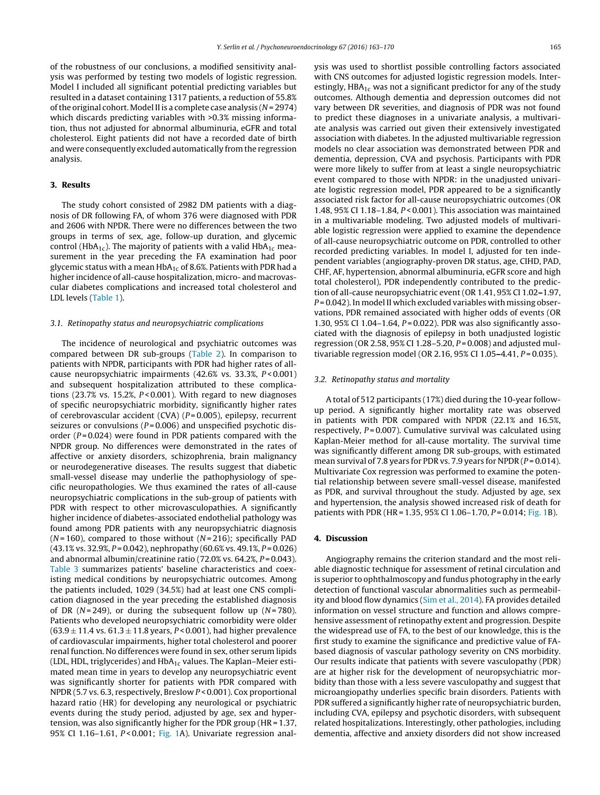of the robustness of our conclusions, a modified sensitivity analysis was performed by testing two models of logistic regression. Model I included all significant potential predicting variables but resulted in a dataset containing 1317 patients, a reduction of 55.8% of the original cohort. Model II is a complete case analysis  $(N = 2974)$ which discards predicting variables with >0.3% missing information, thus not adjusted for abnormal albuminuria, eGFR and total cholesterol. Eight patients did not have a recorded date of birth and were consequently excluded automatically from the regression analysis.

## **3. Results**

The study cohort consisted of 2982 DM patients with a diagnosis of DR following FA, of whom 376 were diagnosed with PDR and 2606 with NPDR. There were no differences between the two groups in terms of sex, age, follow-up duration, and glycemic control (HbA<sub>1c</sub>). The majority of patients with a valid HbA<sub>1c</sub> measurement in the year preceding the FA examination had poor glycemic status with a mean  $HbA_{1c}$  of 8.6%. Patients with PDR had a higher incidence of all-cause hospitalization, micro- and macrovascular diabetes complications and increased total cholesterol and LDL levels [\(Table](#page-3-0) 1).

### 3.1. Retinopathy status and neuropsychiatric complications

The incidence of neurological and psychiatric outcomes was compared between DR sub-groups ([Table](#page-3-0) 2). In comparison to patients with NPDR, participants with PDR had higher rates of allcause neuropsychiatric impairments (42.6% vs. 33.3%, P < 0.001) and subsequent hospitalization attributed to these complications (23.7% vs. 15.2%,  $P < 0.001$ ). With regard to new diagnoses of specific neuropsychiatric morbidity, significantly higher rates of cerebrovascular accident (CVA)  $(P=0.005)$ , epilepsy, recurrent seizures or convulsions ( $P = 0.006$ ) and unspecified psychotic disorder ( $P = 0.024$ ) were found in PDR patients compared with the NPDR group. No differences were demonstrated in the rates of affective or anxiety disorders, schizophrenia, brain malignancy or neurodegenerative diseases. The results suggest that diabetic small-vessel disease may underlie the pathophysiology of specific neuropathologies. We thus examined the rates of all-cause neuropsychiatric complications in the sub-group of patients with PDR with respect to other microvasculopathies. A significantly higher incidence of diabetes-associated endothelial pathology was found among PDR patients with any neuropsychiatric diagnosis ( $N = 160$ ), compared to those without ( $N = 216$ ); specifically PAD  $(43.1\% \text{ vs. } 32.9\%, P = 0.042)$ , nephropathy  $(60.6\% \text{ vs. } 49.1\%, P = 0.026)$ and abnormal albumin/creatinine ratio (72.0% vs. 64.2%,  $P = 0.043$ ). [Table](#page-4-0) 3 summarizes patients' baseline characteristics and coexisting medical conditions by neuropsychiatric outcomes. Among the patients included, 1029 (34.5%) had at least one CNS complication diagnosed in the year preceding the established diagnosis of DR ( $N = 249$ ), or during the subsequent follow up ( $N = 780$ ). Patients who developed neuropsychiatric comorbidity were older  $(63.9 \pm 11.4 \text{ vs. } 61.3 \pm 11.8 \text{ years}, P < 0.001)$ , had higher prevalence of cardiovascular impairments, higher total cholesterol and poorer renal function. No differences were found in sex, other serum lipids (LDL, HDL, triglycerides) and  $HbA_{1c}$  values. The Kaplan–Meier estimated mean time in years to develop any neuropsychiatric event was significantly shorter for patients with PDR compared with NPDR (5.7 vs. 6.3, respectively, Breslow P < 0.001). Cox proportional hazard ratio (HR) for developing any neurological or psychiatric events during the study period, adjusted by age, sex and hypertension, was also significantly higher for the PDR group (HR = 1.37, 95% CI 1.16–1.61,  $P < 0.001$ ; [Fig.](#page-4-0) 1A). Univariate regression analysis was used to shortlist possible controlling factors associated with CNS outcomes for adjusted logistic regression models. Interestingly,  $HBA_{1c}$  was not a significant predictor for any of the study outcomes. Although dementia and depression outcomes did not vary between DR severities, and diagnosis of PDR was not found to predict these diagnoses in a univariate analysis, a multivariate analysis was carried out given their extensively investigated association with diabetes. In the adjusted multivariable regression models no clear association was demonstrated between PDR and dementia, depression, CVA and psychosis. Participants with PDR were more likely to suffer from at least a single neuropsychiatric event compared to those with NPDR: in the unadjusted univariate logistic regression model, PDR appeared to be a significantly associated risk factor for all-cause neuropsychiatric outcomes (OR 1.48, 95% CI 1.18–1.84, P < 0.001). This association was maintained in a multivariable modeling. Two adjusted models of multivariable logistic regression were applied to examine the dependence of all-cause neuropsychiatric outcome on PDR, controlled to other recorded predicting variables. In model I, adjusted for ten independent variables (angiography-proven DR status, age, CIHD, PAD, CHF, AF, hypertension, abnormal albuminuria, eGFR score and high total cholesterol), PDR independently contributed to the prediction of all-cause neuropsychiatric event (OR 1.41, 95% CI 1.02**–**1.97,  $P = 0.042$ ). In model II which excluded variables with missing observations, PDR remained associated with higher odds of events (OR 1.30, 95% CI 1.04-1.64, P = 0.022). PDR was also significantly associated with the diagnosis of epilepsy in both unadjusted logistic regression (OR 2.58, 95% CI 1.28-5.20,  $P = 0.008$ ) and adjusted multivariable regression model (OR 2.16, 95% CI 1.05**–**4.41, P = 0.035).

#### 3.2. Retinopathy status and mortality

A total of 512 participants (17%) died during the 10-year followup period. A significantly higher mortality rate was observed in patients with PDR compared with NPDR (22.1% and 16.5%, respectively,  $P = 0.007$ ). Cumulative survival was calculated using Kaplan-Meier method for all-cause mortality. The survival time was significantly different among DR sub-groups, with estimated mean survival of 7.8 years for PDR vs. 7.9 years for NPDR ( $P = 0.014$ ). Multivariate Cox regression was performed to examine the potential relationship between severe small-vessel disease, manifested as PDR, and survival throughout the study. Adjusted by age, sex and hypertension, the analysis showed increased risk of death for patients with PDR (HR = 1.35, 95% CI 1.06–1.70, P = 0.014; [Fig.](#page-4-0) 1B).

## **4. Discussion**

Angiography remains the criterion standard and the most reliable diagnostic technique for assessment of retinal circulation and is superior to ophthalmoscopy and fundus photography in the early detection of functional vascular abnormalities such as permeability and blood flow dynamics [\(Sim](#page-7-0) et [al.,](#page-7-0) [2014\).](#page-7-0) FA provides detailed information on vessel structure and function and allows comprehensive assessment of retinopathy extent and progression. Despite the widespread use of FA, to the best of our knowledge, this is the first study to examine the significance and predictive value of FAbased diagnosis of vascular pathology severity on CNS morbidity. Our results indicate that patients with severe vasculopathy (PDR) are at higher risk for the development of neuropsychiatric morbidity than those with a less severe vasculopathy and suggest that microangiopathy underlies specific brain disorders. Patients with PDR suffered a significantly higher rate of neuropsychiatric burden, including CVA, epilepsy and psychotic disorders, with subsequent related hospitalizations. Interestingly, other pathologies, including dementia, affective and anxiety disorders did not show increased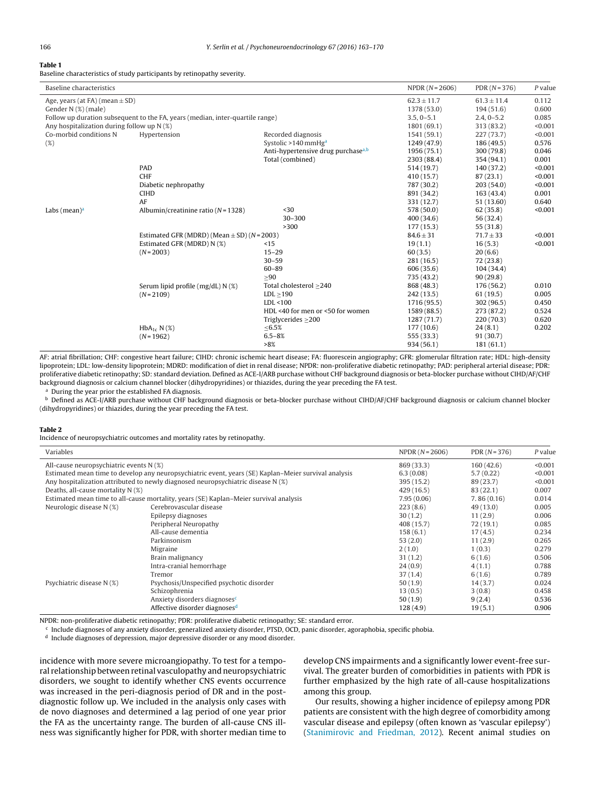#### <span id="page-3-0"></span>**Table 1**

Baseline characteristics of study participants by retinopathy severity.

| Baseline characteristics                                                      |                                                 |                                                | $NPPR (N = 2606)$ | $PDR(N=376)$    | $P$ value |
|-------------------------------------------------------------------------------|-------------------------------------------------|------------------------------------------------|-------------------|-----------------|-----------|
| Age, years (at FA) (mean $\pm$ SD)                                            |                                                 |                                                | $62.3 \pm 11.7$   | $61.3 \pm 11.4$ | 0.112     |
| Gender N (%) (male)                                                           | 1378 (53.0)                                     | 194(51.6)                                      | 0.600             |                 |           |
| Follow up duration subsequent to the FA, years (median, inter-quartile range) |                                                 |                                                | $3.5, 0-5.1$      | $2.4, 0-5.2$    | 0.085     |
| Any hospitalization during follow up N (%)                                    |                                                 |                                                | 1801 (69.1)       | 313 (83.2)      | < 0.001   |
| Co-morbid conditions N                                                        | Hypertension                                    | Recorded diagnosis                             | 1541 (59.1)       | 227(73.7)       | < 0.001   |
| (%)                                                                           |                                                 | Systolic >140 mmHg <sup>a</sup>                | 1249 (47.9)       | 186 (49.5)      | 0.576     |
|                                                                               |                                                 | Anti-hypertensive drug purchase <sup>a,b</sup> | 1956 (75.1)       | 300 (79.8)      | 0.046     |
|                                                                               |                                                 | Total (combined)                               | 2303 (88.4)       | 354 (94.1)      | 0.001     |
|                                                                               | PAD                                             |                                                | 514 (19.7)        | 140 (37.2)      | < 0.001   |
|                                                                               | <b>CHF</b>                                      |                                                | 410 (15.7)        | 87(23.1)        | < 0.001   |
|                                                                               | Diabetic nephropathy                            |                                                | 787 (30.2)        | 203(54.0)       | < 0.001   |
|                                                                               | <b>CIHD</b>                                     |                                                | 891 (34.2)        | 163(43.4)       | 0.001     |
|                                                                               | AF                                              |                                                | 331 (12.7)        | 51 (13.60)      | 0.640     |
| Labs (mean) $a$                                                               | Albumin/creatinine ratio ( $N = 1328$ )         | $30$                                           | 578 (50.0)        | 62(35.8)        | < 0.001   |
|                                                                               |                                                 | $30 - 300$                                     | 400(34.6)         | 56 (32.4)       |           |
|                                                                               |                                                 | >300                                           | 177(15.3)         | 55 (31.8)       |           |
|                                                                               | Estimated GFR (MDRD) (Mean $\pm$ SD) (N = 2003) |                                                | $84.6 \pm 31$     | $71.7 \pm 33$   | < 0.001   |
|                                                                               | Estimated GFR (MDRD) N (%)                      | <15                                            | 19(1.1)           | 16(5.3)         | < 0.001   |
|                                                                               | $(N=2003)$                                      | $15 - 29$                                      | 60(3.5)           | 20(6.6)         |           |
|                                                                               |                                                 | $30 - 59$                                      | 281 (16.5)        | 72(23.8)        |           |
|                                                                               |                                                 | $60 - 89$                                      | 606 (35.6)        | 104(34.4)       |           |
|                                                                               |                                                 | >90                                            | 735 (43.2)        | 90(29.8)        |           |
|                                                                               | Serum lipid profile ( $mg/dL$ ) N $(\%)$        | Total cholesterol ≥240                         | 868 (48.3)        | 176 (56.2)      | 0.010     |
|                                                                               | $(N=2109)$                                      | LDL > 190                                      | 242(13.5)         | 61 (19.5)       | 0.005     |
|                                                                               |                                                 | LDL < 100                                      | 1716 (95.5)       | 302 (96.5)      | 0.450     |
|                                                                               |                                                 | HDL <40 for men or <50 for women               | 1589 (88.5)       | 273 (87.2)      | 0.524     |
|                                                                               |                                                 | Triglycerides $>200$                           | 1287 (71.7)       | 220(70.3)       | 0.620     |
|                                                                               | $HbA_{1c} N(\%)$                                | ≤ 6.5%                                         | 177(10.6)         | 24(8.1)         | 0.202     |
|                                                                               | $(N=1962)$                                      | $6.5 - 8%$                                     | 555 (33.3)        | 91(30.7)        |           |
|                                                                               |                                                 | >8%                                            | 934 (56.1)        | 181(61.1)       |           |

AF: atrial fibrillation; CHF: congestive heart failure; CIHD: chronic ischemic heart disease; FA: fluorescein angiography; GFR: glomerular filtration rate; HDL: high-density lipoprotein; LDL: low-density lipoprotein; MDRD: modification of diet in renal disease; NPDR: non-proliferative diabetic retinopathy; PAD: peripheral arterial disease; PDR: proliferative diabetic retinopathy; SD: standard deviation. Defined as ACE-I/ARB purchase without CHF background diagnosis or beta-blocker purchase without CIHD/AF/CHF background diagnosis or calcium channel blocker (dihydropyridines) or thiazides, during the year preceding the FA test.

<sup>a</sup> During the year prior the established FA diagnosis.

<sup>b</sup> Defined as ACE-I/ARB purchase without CHF background diagnosis or beta-blocker purchase without CIHD/AF/CHF background diagnosis or calcium channel blocker (dihydropyridines) or thiazides, during the year preceding the FA test.

### **Table 2**

Incidence of neuropsychiatric outcomes and mortality rates by retinopathy.

| Variables                                                                                            |                                           | $NPPR (N = 2606)$ | PDR $(N = 376)$ | P value |
|------------------------------------------------------------------------------------------------------|-------------------------------------------|-------------------|-----------------|---------|
| All-cause neuropsychiatric events N (%)                                                              |                                           | 869 (33.3)        | 160(42.6)       | < 0.001 |
| Estimated mean time to develop any neuropsychiatric event, years (SE) Kaplan–Meier survival analysis |                                           | 6.3(0.08)         | 5.7(0.22)       | < 0.001 |
| Any hospitalization attributed to newly diagnosed neuropsychiatric disease N (%)                     |                                           | 395 (15.2)        | 89 (23.7)       | < 0.001 |
| Deaths, all-cause mortality N (%)                                                                    |                                           | 429 (16.5)        | 83(22.1)        | 0.007   |
| Estimated mean time to all-cause mortality, years (SE) Kaplan–Meier survival analysis                |                                           | 7.95(0.06)        | 7.86(0.16)      | 0.014   |
| Neurologic disease N (%)                                                                             | Cerebrovascular disease                   | 223(8.6)          | 49 (13.0)       | 0.005   |
|                                                                                                      | Epilepsy diagnoses                        | 30(1.2)           | 11(2.9)         | 0.006   |
|                                                                                                      | Peripheral Neuropathy                     | 408 (15.7)        | 72(19.1)        | 0.085   |
|                                                                                                      | All-cause dementia                        | 158(6.1)          | 17(4.5)         | 0.234   |
|                                                                                                      | Parkinsonism                              | 53(2.0)           | 11(2.9)         | 0.265   |
|                                                                                                      | Migraine                                  | 2(1.0)            | 1(0.3)          | 0.279   |
|                                                                                                      | Brain malignancy                          | 31(1.2)           | 6(1.6)          | 0.506   |
|                                                                                                      | Intra-cranial hemorrhage                  | 24(0.9)           | 4(1.1)          | 0.788   |
|                                                                                                      | Tremor                                    | 37(1.4)           | 6(1.6)          | 0.789   |
| Psychiatric disease N (%)                                                                            | Psychosis/Unspecified psychotic disorder  | 50(1.9)           | 14(3.7)         | 0.024   |
|                                                                                                      | Schizophrenia                             | 13(0.5)           | 3(0.8)          | 0.458   |
|                                                                                                      | Anxiety disorders diagnoses <sup>c</sup>  | 50(1.9)           | 9(2.4)          | 0.536   |
|                                                                                                      | Affective disorder diagnoses <sup>d</sup> | 128(4.9)          | 19(5.1)         | 0.906   |

NPDR: non-proliferative diabetic retinopathy; PDR: proliferative diabetic retinopathy; SE: standard error.

<sup>c</sup> Include diagnoses of any anxiety disorder, generalized anxiety disorder, PTSD, OCD, panic disorder, agoraphobia, specific phobia.

<sup>d</sup> Include diagnoses of depression, major depressive disorder or any mood disorder.

incidence with more severe microangiopathy. To test for a temporal relationship between retinal vasculopathy and neuropsychiatric disorders, we sought to identify whether CNS events occurrence was increased in the peri-diagnosis period of DR and in the postdiagnostic follow up. We included in the analysis only cases with de novo diagnoses and determined a lag period of one year prior the FA as the uncertainty range. The burden of all-cause CNS illness was significantly higher for PDR, with shorter median time to

develop CNS impairments and a significantly lower event-free survival. The greater burden of comorbidities in patients with PDR is further emphasized by the high rate of all-cause hospitalizations among this group.

Our results, showing a higher incidence of epilepsy among PDR patients are consistent with the high degree of comorbidity among vascular disease and epilepsy (often known as 'vascular epilepsy') [\(Stanimirovic](#page-7-0) [and](#page-7-0) [Friedman,](#page-7-0) [2012\).](#page-7-0) Recent animal studies on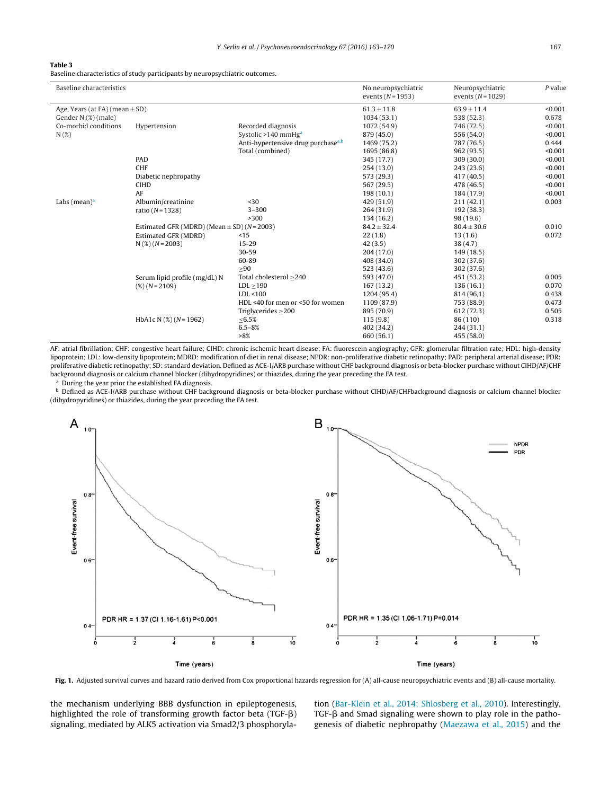### <span id="page-4-0"></span>**Table 3**

Baseline characteristics of study participants by neuropsychiatric outcomes.

| Baseline characteristics                                  |                                                 |                                                | No neuropsychiatric<br>events $(N = 1953)$ | Neuropsychiatric<br>events $(N=1029)$ | $P$ value        |
|-----------------------------------------------------------|-------------------------------------------------|------------------------------------------------|--------------------------------------------|---------------------------------------|------------------|
| Age, Years (at FA) (mean $\pm$ SD)<br>Gender N (%) (male) |                                                 |                                                | $61.3 \pm 11.8$<br>1034(53.1)              | $63.9 \pm 11.4$<br>538 (52.3)         | < 0.001<br>0.678 |
| Co-morbid conditions                                      | Hypertension                                    | Recorded diagnosis                             | 1072 (54.9)                                | 746 (72.5)                            | < 0.001          |
| N(%)                                                      |                                                 | Systolic >140 mmHg <sup>a</sup>                | 879 (45.0)                                 | 556 (54.0)                            | < 0.001          |
|                                                           |                                                 | Anti-hypertensive drug purchase <sup>a,b</sup> | 1469 (75.2)                                | 787 (76.5)                            | 0.444            |
|                                                           |                                                 | Total (combined)                               | 1695 (86.8)                                | 962 (93.5)                            | < 0.001          |
|                                                           | PAD                                             |                                                | 345 (17.7)                                 | 309(30.0)                             | < 0.001          |
|                                                           | <b>CHF</b>                                      |                                                | 254(13.0)                                  | 243 (23.6)                            | < 0.001          |
|                                                           | Diabetic nephropathy                            |                                                | 573 (29.3)                                 | 417 (40.5)                            | < 0.001          |
|                                                           | <b>CIHD</b>                                     |                                                | 567 (29.5)                                 | 478 (46.5)                            | < 0.001          |
|                                                           | AF                                              |                                                | 198(10.1)                                  | 184 (17.9)                            | < 0.001          |
| Labs (mean) $a$                                           | Albumin/creatinine                              | $30$                                           | 429 (51.9)                                 | 211(42.1)                             | 0.003            |
|                                                           | ratio ( $N = 1328$ )                            | $3 - 300$                                      | 264 (31.9)                                 | 192 (38.3)                            |                  |
|                                                           |                                                 | >300                                           | 134(16.2)                                  | 98 (19.6)                             |                  |
|                                                           | Estimated GFR (MDRD) (Mean $\pm$ SD) (N = 2003) |                                                | $84.2 \pm 32.4$                            | $80.4 \pm 30.6$                       | 0.010            |
|                                                           | Estimated GFR (MDRD)                            | <15                                            | 22(1.8)                                    | 13(1.6)                               | 0.072            |
|                                                           | $N$ (%) ( $N = 2003$ )                          | $15 - 29$                                      | 42(3.5)                                    | 38(4.7)                               |                  |
|                                                           |                                                 | 30-59                                          | 204 (17.0)                                 | 149(18.5)                             |                  |
|                                                           |                                                 | 60-89                                          | 408 (34.0)                                 | 302 (37.6)                            |                  |
|                                                           |                                                 | >90                                            | 523(43.6)                                  | 302 (37.6)                            |                  |
|                                                           | Serum lipid profile (mg/dL) N                   | Total cholesterol >240                         | 593 (47.0)                                 | 451 (53.2)                            | 0.005            |
|                                                           | $(\%) (N = 2109)$                               | $LDL \geq 190$                                 | 167(13.2)                                  | 136(16.1)                             | 0.070            |
|                                                           |                                                 | LDL < 100                                      | 1204 (95.4)                                | 814 (96,1)                            | 0.438            |
|                                                           |                                                 | HDL <40 for men or <50 for women               | 1109 (87,9)                                | 753 (88.9)                            | 0.473            |
|                                                           |                                                 | Triglycerides $>200$                           | 895 (70.9)                                 | 612 (72.3)                            | 0.505            |
|                                                           | HbA1c N $(%) (N = 1962)$                        | <6.5%                                          | 115(9.8)                                   | 86 (110)                              | 0.318            |
|                                                           |                                                 | $6.5 - 8%$                                     | 402 (34.2)                                 | 244(31.1)                             |                  |
|                                                           |                                                 | >8%                                            | 660 (56.1)                                 | 455 (58.0)                            |                  |

AF: atrial fibrillation; CHF: congestive heart failure; CIHD: chronic ischemic heart disease; FA: fluorescein angiography; GFR: glomerular filtration rate; HDL: high-density lipoprotein; LDL: low-density lipoprotein; MDRD: modification of diet in renal disease; NPDR: non-proliferative diabetic retinopathy; PAD: peripheral arterial disease; PDR: proliferative diabetic retinopathy; SD: standard deviation. Defined as ACE-I/ARB purchase without CHF background diagnosis or beta-blocker purchase without CIHD/AF/CHF background diagnosis or calcium channel blocker (dihydropyridines) or thiazides, during the year preceding the FA test.

<sup>a</sup> During the year prior the established FA diagnosis.

**b** Defined as ACE-I/ARB purchase without CHF background diagnosis or beta-blocker purchase without CIHD/AF/CHFbackground diagnosis or calcium channel blocker (dihydropyridines) or thiazides, during the year preceding the FA test.



**Fig. 1.** Adjusted survival curves and hazard ratio derived from Cox proportional hazards regression for (A) all-cause neuropsychiatric events and (B) all-cause mortality.

the mechanism underlying BBB dysfunction in epileptogenesis, highlighted the role of transforming growth factor beta (TGF- $\beta$ ) signaling, mediated by ALK5 activation via Smad2/3 phosphorylation ([Bar-Klein](#page-6-0) et [al.,](#page-6-0) [2014;](#page-6-0) [Shlosberg](#page-6-0) et [al.,](#page-6-0) [2010\).](#page-6-0) Interestingly, TGF-β and Smad signaling were shown to play role in the pathogenesis of diabetic nephropathy ([Maezawa](#page-6-0) et [al.,](#page-6-0) [2015\)](#page-6-0) and the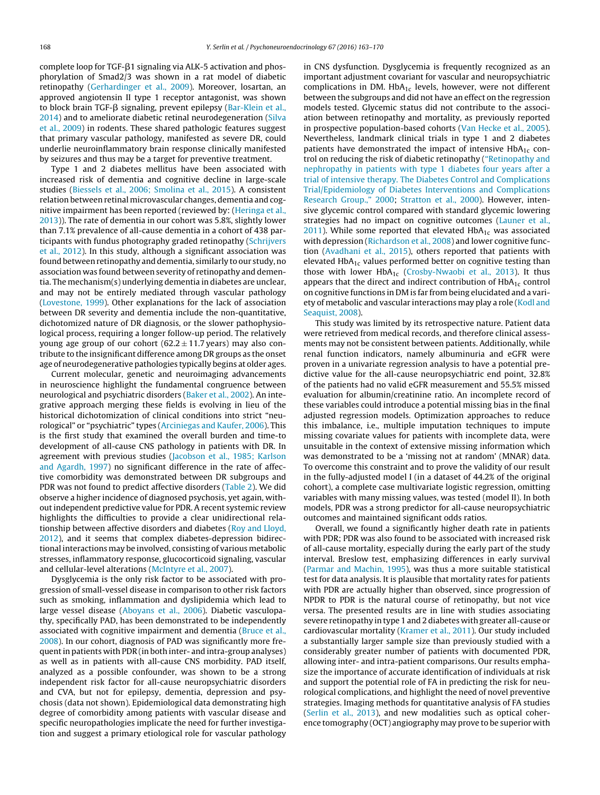complete loop for TGF-ß1 signaling via ALK-5 activation and phosphorylation of Smad2/3 was shown in a rat model of diabetic retinopathy [\(Gerhardinger](#page-6-0) et [al.,](#page-6-0) [2009\).](#page-6-0) Moreover, losartan, an approved angiotensin II type 1 receptor antagonist, was shown to block brain TGF-β signaling, prevent epilepsy [\(Bar-Klein](#page-6-0) et [al.,](#page-6-0) [2014\)](#page-6-0) and to ameliorate diabetic retinal neurodegeneration [\(Silva](#page-7-0) et [al.,](#page-7-0) [2009\)](#page-7-0) in rodents. These shared pathologic features suggest that primary vascular pathology, manifested as severe DR, could underlie neuroinflammatory brain response clinically manifested by seizures and thus may be a target for preventive treatment.

Type 1 and 2 diabetes mellitus have been associated with increased risk of dementia and cognitive decline in large-scale studies ([Biessels](#page-6-0) et [al.,](#page-6-0) [2006;](#page-6-0) [Smolina](#page-6-0) et [al.,](#page-6-0) [2015\).](#page-6-0) A consistent relation between retinal microvascular changes, dementia and cognitive impairment has been reported (reviewed by: [\(Heringa](#page-6-0) et [al.,](#page-6-0) [2013\)\)](#page-6-0). The rate of dementia in our cohort was 5.8%, slightly lower than 7.1% prevalence of all-cause dementia in a cohort of 438 participants with fundus photography graded retinopathy ([Schrijvers](#page-6-0) et [al.,](#page-6-0) [2012\).](#page-6-0) In this study, although a significant association was found between retinopathy and dementia, similarly to our study, no association was found between severity of retinopathy and dementia. The mechanism(s) underlying dementia in diabetes are unclear, and may not be entirely mediated through vascular pathology ([Lovestone,](#page-6-0) [1999\).](#page-6-0) Other explanations for the lack of association between DR severity and dementia include the non-quantitative, dichotomized nature of DR diagnosis, or the slower pathophysiological process, requiring a longer follow-up period. The relatively young age group of our cohort ( $62.2 \pm 11.7$  years) may also contribute to the insignificant difference among DR groups as the onset age of neurodegenerative pathologies typically begins at older ages.

Current molecular, genetic and neuroimaging advancements in neuroscience highlight the fundamental congruence between neurological and psychiatric disorders [\(Baker](#page-6-0) et [al.,](#page-6-0) [2002\).](#page-6-0) An integrative approach merging these fields is evolving in lieu of the historical dichotomization of clinical conditions into strict "neurological" or "psychiatric" types ([Arciniegas](#page-6-0) [and](#page-6-0) [Kaufer,](#page-6-0) [2006\).](#page-6-0) This is the first study that examined the overall burden and time-to development of all-cause CNS pathology in patients with DR. In agreement with previous studies [\(Jacobson](#page-6-0) et [al.,](#page-6-0) [1985;](#page-6-0) [Karlson](#page-6-0) [and](#page-6-0) [Agardh,](#page-6-0) [1997\)](#page-6-0) no significant difference in the rate of affective comorbidity was demonstrated between DR subgroups and PDR was not found to predict affective disorders [\(Table](#page-3-0) 2). We did observe a higher incidence of diagnosed psychosis, yet again, without independent predictive value for PDR. A recent systemic review highlights the difficulties to provide a clear unidirectional relationship between affective disorders and diabetes ([Roy](#page-6-0) [and](#page-6-0) [Lloyd,](#page-6-0) [2012\),](#page-6-0) and it seems that complex diabetes-depression bidirectional interactions may be involved, consisting of various metabolic stresses, inflammatory response, glucocorticoid signaling, vascular and cellular-level alterations [\(McIntyre](#page-6-0) et [al.,](#page-6-0) [2007\).](#page-6-0)

Dysglycemia is the only risk factor to be associated with progression of small-vessel disease in comparison to other risk factors such as smoking, inflammation and dyslipidemia which lead to large vessel disease ([Aboyans](#page-6-0) et [al.,](#page-6-0) [2006\).](#page-6-0) Diabetic vasculopathy, specifically PAD, has been demonstrated to be independently associated with cognitive impairment and dementia ([Bruce](#page-6-0) et [al.,](#page-6-0) [2008\).](#page-6-0) In our cohort, diagnosis of PAD was significantly more frequentin patients with PDR (in both inter- and intra-group analyses) as well as in patients with all-cause CNS morbidity. PAD itself, analyzed as a possible confounder, was shown to be a strong independent risk factor for all-cause neuropsychiatric disorders and CVA, but not for epilepsy, dementia, depression and psychosis (data not shown). Epidemiological data demonstrating high degree of comorbidity among patients with vascular disease and specific neuropathologies implicate the need for further investigation and suggest a primary etiological role for vascular pathology in CNS dysfunction. Dysglycemia is frequently recognized as an important adjustment covariant for vascular and neuropsychiatric complications in DM.  $HbA_{1c}$  levels, however, were not different between the subgroups and did not have an effect on the regression models tested. Glycemic status did not contribute to the association between retinopathy and mortality, as previously reported in prospective population-based cohorts [\(Van](#page-7-0) [Hecke](#page-7-0) et [al.,](#page-7-0) [2005\).](#page-7-0) Nevertheless, landmark clinical trials in type 1 and 2 diabetes patients have demonstrated the impact of intensive  $HbA_{1c}$  control on reducing the risk of diabetic retinopathy (["Retinopathy](#page-6-0) [and](#page-6-0) [nephropathy](#page-6-0) [in](#page-6-0) [patients](#page-6-0) [with](#page-6-0) [type](#page-6-0) [1](#page-6-0) [diabetes](#page-6-0) [four](#page-6-0) [years](#page-6-0) [after](#page-6-0) [a](#page-6-0) [trial](#page-6-0) [of](#page-6-0) [intensive](#page-6-0) [therapy.](#page-6-0) [The](#page-6-0) [Diabetes](#page-6-0) [Control](#page-6-0) [and](#page-6-0) [Complications](#page-6-0) [Trial/Epidemiology](#page-6-0) [of](#page-6-0) [Diabetes](#page-6-0) [Interventions](#page-6-0) [and](#page-6-0) [Complications](#page-6-0) [Research](#page-6-0) [Group.,"](#page-6-0) [2000;](#page-6-0) [Stratton](#page-7-0) et [al.,](#page-7-0) [2000\).](#page-7-0) However, intensive glycemic control compared with standard glycemic lowering strategies had no impact on cognitive outcomes ([Launer](#page-6-0) et [al.,](#page-6-0)  $2011$ ). While some reported that elevated HbA<sub>1c</sub> was associated with depression [\(Richardson](#page-6-0) et [al.,](#page-6-0) [2008\)](#page-6-0) and lower cognitive function [\(Avadhani](#page-6-0) et [al.,](#page-6-0) [2015\),](#page-6-0) others reported that patients with elevated  $HbA_{1c}$  values performed better on cognitive testing than those with lower  $HbA_{1c}$  ([Crosby-Nwaobi](#page-6-0) et [al.,](#page-6-0) [2013\).](#page-6-0) It thus appears that the direct and indirect contribution of  $HbA_{1c}$  control on cognitive functions in DM is far from being elucidated and a vari-ety of metabolic and vascular interactions may play a role ([Kodl](#page-6-0) [and](#page-6-0) [Seaquist,](#page-6-0) [2008\).](#page-6-0)

This study was limited by its retrospective nature. Patient data were retrieved from medical records, and therefore clinical assessments may not be consistent between patients. Additionally, while renal function indicators, namely albuminuria and eGFR were proven in a univariate regression analysis to have a potential predictive value for the all-cause neuropsychiatric end point, 32.8% of the patients had no valid eGFR measurement and 55.5% missed evaluation for albumin/creatinine ratio. An incomplete record of these variables could introduce a potential missing bias in the final adjusted regression models. Optimization approaches to reduce this imbalance, i.e., multiple imputation techniques to impute missing covariate values for patients with incomplete data, were unsuitable in the context of extensive missing information which was demonstrated to be a 'missing not at random' (MNAR) data. To overcome this constraint and to prove the validity of our result in the fully-adjusted model I (in a dataset of 44.2% of the original cohort), a complete case multivariate logistic regression, omitting variables with many missing values, was tested (model II). In both models, PDR was a strong predictor for all-cause neuropsychiatric outcomes and maintained significant odds ratios.

Overall, we found a significantly higher death rate in patients with PDR; PDR was also found to be associated with increased risk of all-cause mortality, especially during the early part of the study interval. Breslow test, emphasizing differences in early survival [\(Parmar](#page-6-0) [and](#page-6-0) [Machin,](#page-6-0) [1995\),](#page-6-0) was thus a more suitable statistical test for data analysis. It is plausible that mortality rates for patients with PDR are actually higher than observed, since progression of NPDR to PDR is the natural course of retinopathy, but not vice versa. The presented results are in line with studies associating severe retinopathy in type 1 and 2 diabetes with greater all-cause or cardiovascular mortality [\(Kramer](#page-6-0) et [al.,](#page-6-0) [2011\).](#page-6-0) Our study included a substantially larger sample size than previously studied with a considerably greater number of patients with documented PDR, allowing inter- and intra-patient comparisons. Our results emphasize the importance of accurate identification of individuals at risk and support the potential role of FA in predicting the risk for neurological complications, and highlight the need of novel preventive strategies. Imaging methods for quantitative analysis of FA studies [\(Serlin](#page-6-0) et [al.,](#page-6-0) [2013\),](#page-6-0) and new modalities such as optical coherence tomography (OCT) angiography may prove to be superior with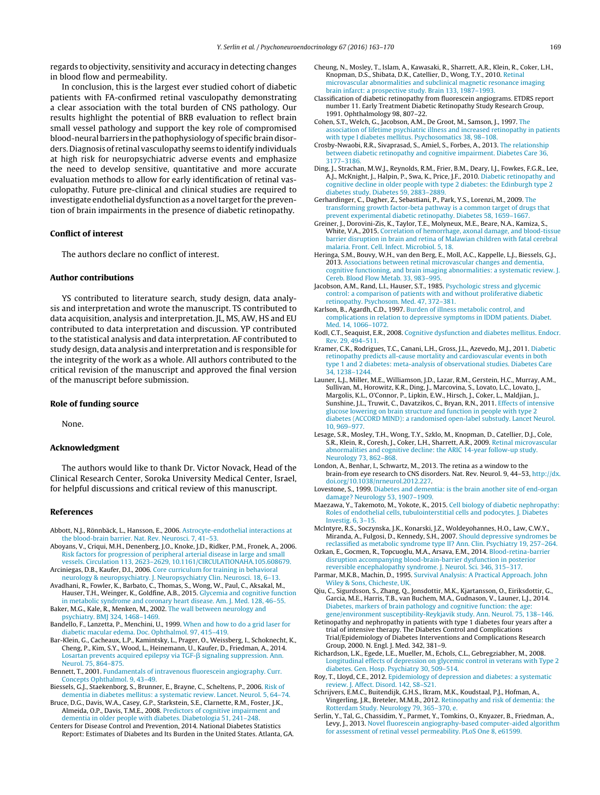<span id="page-6-0"></span>regards to objectivity, sensitivity and accuracy in detecting changes in blood flow and permeability.

In conclusion, this is the largest ever studied cohort of diabetic patients with FA-confirmed retinal vasculopathy demonstrating a clear association with the total burden of CNS pathology. Our results highlight the potential of BRB evaluation to reflect brain small vessel pathology and support the key role of compromised blood-neural barriers inthepathophysiology of specific braindisorders. Diagnosis of retinal vasculopathy seems to identify individuals at high risk for neuropsychiatric adverse events and emphasize the need to develop sensitive, quantitative and more accurate evaluation methods to allow for early identification of retinal vasculopathy. Future pre-clinical and clinical studies are required to investigate endothelial dysfunction as a novel target for the prevention of brain impairments in the presence of diabetic retinopathy.

## **Conflict of interest**

The authors declare no conflict of interest.

### **Author contributions**

YS contributed to literature search, study design, data analysis and interpretation and wrote the manuscript. TS contributed to data acquisition, analysis and interpretation. JL, MS, AW, HS and EU contributed to data interpretation and discussion. YP contributed to the statistical analysis and data interpretation. AF contributed to study design, data analysis and interpretation and is responsible for the integrity of the work as a whole. All authors contributed to the critical revision of the manuscript and approved the final version of the manuscript before submission.

### **Role of funding source**

None.

## **Acknowledgment**

The authors would like to thank Dr. Victor Novack, Head of the Clinical Research Center, Soroka University Medical Center, Israel, for helpful discussions and critical review of this manuscript.

#### **References**

- Abbott, N.J., Rönnbäck, L., Hansson, E., 2006. [Astrocyte-endothelial](http://refhub.elsevier.com/S0306-4530(16)30039-7/sbref0005) [interactions](http://refhub.elsevier.com/S0306-4530(16)30039-7/sbref0005) [at](http://refhub.elsevier.com/S0306-4530(16)30039-7/sbref0005) [the](http://refhub.elsevier.com/S0306-4530(16)30039-7/sbref0005) [blood-brain](http://refhub.elsevier.com/S0306-4530(16)30039-7/sbref0005) [barrier.](http://refhub.elsevier.com/S0306-4530(16)30039-7/sbref0005) [Nat.](http://refhub.elsevier.com/S0306-4530(16)30039-7/sbref0005) [Rev.](http://refhub.elsevier.com/S0306-4530(16)30039-7/sbref0005) [Neurosci.](http://refhub.elsevier.com/S0306-4530(16)30039-7/sbref0005) [7,](http://refhub.elsevier.com/S0306-4530(16)30039-7/sbref0005) [41–53.](http://refhub.elsevier.com/S0306-4530(16)30039-7/sbref0005)
- Aboyans, V., Criqui, M.H., Denenberg, J.O., Knoke, J.D., Ridker, P.M., Fronek, A., 2006. [Risk](http://refhub.elsevier.com/S0306-4530(16)30039-7/sbref0010) [factors](http://refhub.elsevier.com/S0306-4530(16)30039-7/sbref0010) [for](http://refhub.elsevier.com/S0306-4530(16)30039-7/sbref0010) [progression](http://refhub.elsevier.com/S0306-4530(16)30039-7/sbref0010) [of](http://refhub.elsevier.com/S0306-4530(16)30039-7/sbref0010) [peripheral](http://refhub.elsevier.com/S0306-4530(16)30039-7/sbref0010) [arterial](http://refhub.elsevier.com/S0306-4530(16)30039-7/sbref0010) [disease](http://refhub.elsevier.com/S0306-4530(16)30039-7/sbref0010) [in](http://refhub.elsevier.com/S0306-4530(16)30039-7/sbref0010) [large](http://refhub.elsevier.com/S0306-4530(16)30039-7/sbref0010) [and](http://refhub.elsevier.com/S0306-4530(16)30039-7/sbref0010) [small](http://refhub.elsevier.com/S0306-4530(16)30039-7/sbref0010) [vessels.](http://refhub.elsevier.com/S0306-4530(16)30039-7/sbref0010) [Circulation](http://refhub.elsevier.com/S0306-4530(16)30039-7/sbref0010) [113,](http://refhub.elsevier.com/S0306-4530(16)30039-7/sbref0010) [2623–2629,](http://refhub.elsevier.com/S0306-4530(16)30039-7/sbref0010) [10.1161/CIRCULATIONAHA.105.608679.](http://refhub.elsevier.com/S0306-4530(16)30039-7/sbref0010)
- Arciniegas, D.B., Kaufer, D.I., 2006. [Core](http://refhub.elsevier.com/S0306-4530(16)30039-7/sbref0015) [curriculum](http://refhub.elsevier.com/S0306-4530(16)30039-7/sbref0015) [for](http://refhub.elsevier.com/S0306-4530(16)30039-7/sbref0015) [training](http://refhub.elsevier.com/S0306-4530(16)30039-7/sbref0015) [in](http://refhub.elsevier.com/S0306-4530(16)30039-7/sbref0015) [behavioral](http://refhub.elsevier.com/S0306-4530(16)30039-7/sbref0015)
- [neurology](http://refhub.elsevier.com/S0306-4530(16)30039-7/sbref0015) [&](http://refhub.elsevier.com/S0306-4530(16)30039-7/sbref0015) [neuropsychiatry.](http://refhub.elsevier.com/S0306-4530(16)30039-7/sbref0015) [J.](http://refhub.elsevier.com/S0306-4530(16)30039-7/sbref0015) [Neuropsychiatry](http://refhub.elsevier.com/S0306-4530(16)30039-7/sbref0015) [Clin.](http://refhub.elsevier.com/S0306-4530(16)30039-7/sbref0015) [Neurosci.](http://refhub.elsevier.com/S0306-4530(16)30039-7/sbref0015) [18,](http://refhub.elsevier.com/S0306-4530(16)30039-7/sbref0015) [6–13.](http://refhub.elsevier.com/S0306-4530(16)30039-7/sbref0015) Avadhani, R., Fowler, K., Barbato, C., Thomas, S., Wong, W., Paul, C., Aksakal, M., Hauser, T.H., Weinger, K., Goldfine, A.B., 2015. [Glycemia](http://refhub.elsevier.com/S0306-4530(16)30039-7/sbref0020) [and](http://refhub.elsevier.com/S0306-4530(16)30039-7/sbref0020) [cognitive](http://refhub.elsevier.com/S0306-4530(16)30039-7/sbref0020) [function](http://refhub.elsevier.com/S0306-4530(16)30039-7/sbref0020)
- [in](http://refhub.elsevier.com/S0306-4530(16)30039-7/sbref0020) [metabolic](http://refhub.elsevier.com/S0306-4530(16)30039-7/sbref0020) [syndrome](http://refhub.elsevier.com/S0306-4530(16)30039-7/sbref0020) [and](http://refhub.elsevier.com/S0306-4530(16)30039-7/sbref0020) [coronary](http://refhub.elsevier.com/S0306-4530(16)30039-7/sbref0020) [heart](http://refhub.elsevier.com/S0306-4530(16)30039-7/sbref0020) [disease.](http://refhub.elsevier.com/S0306-4530(16)30039-7/sbref0020) [Am.](http://refhub.elsevier.com/S0306-4530(16)30039-7/sbref0020) [J.](http://refhub.elsevier.com/S0306-4530(16)30039-7/sbref0020) [Med.](http://refhub.elsevier.com/S0306-4530(16)30039-7/sbref0020) [128,](http://refhub.elsevier.com/S0306-4530(16)30039-7/sbref0020) [46–55.](http://refhub.elsevier.com/S0306-4530(16)30039-7/sbref0020) Baker, M.G., Kale, R., Menken, M., 2002. [The](http://refhub.elsevier.com/S0306-4530(16)30039-7/sbref0025) [wall](http://refhub.elsevier.com/S0306-4530(16)30039-7/sbref0025) [between](http://refhub.elsevier.com/S0306-4530(16)30039-7/sbref0025) [neurology](http://refhub.elsevier.com/S0306-4530(16)30039-7/sbref0025) [and](http://refhub.elsevier.com/S0306-4530(16)30039-7/sbref0025) [psychiatry.](http://refhub.elsevier.com/S0306-4530(16)30039-7/sbref0025) [BMJ](http://refhub.elsevier.com/S0306-4530(16)30039-7/sbref0025) [324,](http://refhub.elsevier.com/S0306-4530(16)30039-7/sbref0025) [1468–1469.](http://refhub.elsevier.com/S0306-4530(16)30039-7/sbref0025)
- Bandello, F., Lanzetta, P., Menchini, U., 1999. [When](http://refhub.elsevier.com/S0306-4530(16)30039-7/sbref0030) [and](http://refhub.elsevier.com/S0306-4530(16)30039-7/sbref0030) [how](http://refhub.elsevier.com/S0306-4530(16)30039-7/sbref0030) [to](http://refhub.elsevier.com/S0306-4530(16)30039-7/sbref0030) [do](http://refhub.elsevier.com/S0306-4530(16)30039-7/sbref0030) [a](http://refhub.elsevier.com/S0306-4530(16)30039-7/sbref0030) [grid](http://refhub.elsevier.com/S0306-4530(16)30039-7/sbref0030) [laser](http://refhub.elsevier.com/S0306-4530(16)30039-7/sbref0030) [for](http://refhub.elsevier.com/S0306-4530(16)30039-7/sbref0030) [diabetic](http://refhub.elsevier.com/S0306-4530(16)30039-7/sbref0030) [macular](http://refhub.elsevier.com/S0306-4530(16)30039-7/sbref0030) [edema.](http://refhub.elsevier.com/S0306-4530(16)30039-7/sbref0030) [Doc.](http://refhub.elsevier.com/S0306-4530(16)30039-7/sbref0030) [Ophthalmol.](http://refhub.elsevier.com/S0306-4530(16)30039-7/sbref0030) [97,](http://refhub.elsevier.com/S0306-4530(16)30039-7/sbref0030) [415–419.](http://refhub.elsevier.com/S0306-4530(16)30039-7/sbref0030)
- Bar-Klein, G., Cacheaux, L.P., Kamintsky, L., Prager, O., Weissberg, I., Schoknecht, K., Cheng, P., Kim, S.Y., Wood, L., Heinemann, U., Kaufer, D., Friedman, A., 2014. [Losartan](http://refhub.elsevier.com/S0306-4530(16)30039-7/sbref0035) [prevents](http://refhub.elsevier.com/S0306-4530(16)30039-7/sbref0035) [acquired](http://refhub.elsevier.com/S0306-4530(16)30039-7/sbref0035) [epilepsy](http://refhub.elsevier.com/S0306-4530(16)30039-7/sbref0035) [via](http://refhub.elsevier.com/S0306-4530(16)30039-7/sbref0035) [TGF-](http://refhub.elsevier.com/S0306-4530(16)30039-7/sbref0035)ß [signaling](http://refhub.elsevier.com/S0306-4530(16)30039-7/sbref0035) [suppression.](http://refhub.elsevier.com/S0306-4530(16)30039-7/sbref0035) [Ann.](http://refhub.elsevier.com/S0306-4530(16)30039-7/sbref0035) [Neurol.](http://refhub.elsevier.com/S0306-4530(16)30039-7/sbref0035) [75,](http://refhub.elsevier.com/S0306-4530(16)30039-7/sbref0035) [864](http://refhub.elsevier.com/S0306-4530(16)30039-7/sbref0035)–[875.](http://refhub.elsevier.com/S0306-4530(16)30039-7/sbref0035)
- Bennett, T., 2001. [Fundamentals](http://refhub.elsevier.com/S0306-4530(16)30039-7/sbref0040) [of](http://refhub.elsevier.com/S0306-4530(16)30039-7/sbref0040) [intravenous](http://refhub.elsevier.com/S0306-4530(16)30039-7/sbref0040) [fluorescein](http://refhub.elsevier.com/S0306-4530(16)30039-7/sbref0040) [angiography.](http://refhub.elsevier.com/S0306-4530(16)30039-7/sbref0040) [Curr.](http://refhub.elsevier.com/S0306-4530(16)30039-7/sbref0040) [Concepts](http://refhub.elsevier.com/S0306-4530(16)30039-7/sbref0040) [Ophthalmol.](http://refhub.elsevier.com/S0306-4530(16)30039-7/sbref0040) [9,](http://refhub.elsevier.com/S0306-4530(16)30039-7/sbref0040) [43](http://refhub.elsevier.com/S0306-4530(16)30039-7/sbref0040)–[49.](http://refhub.elsevier.com/S0306-4530(16)30039-7/sbref0040)
- Biessels, G.J., Staekenborg, S., Brunner, E., Brayne, C., Scheltens, P., 2006. [Risk](http://refhub.elsevier.com/S0306-4530(16)30039-7/sbref0045) [of](http://refhub.elsevier.com/S0306-4530(16)30039-7/sbref0045) [dementia](http://refhub.elsevier.com/S0306-4530(16)30039-7/sbref0045) [in](http://refhub.elsevier.com/S0306-4530(16)30039-7/sbref0045) [diabetes](http://refhub.elsevier.com/S0306-4530(16)30039-7/sbref0045) [mellitus:](http://refhub.elsevier.com/S0306-4530(16)30039-7/sbref0045) [a](http://refhub.elsevier.com/S0306-4530(16)30039-7/sbref0045) [systematic](http://refhub.elsevier.com/S0306-4530(16)30039-7/sbref0045) [review.](http://refhub.elsevier.com/S0306-4530(16)30039-7/sbref0045) [Lancet.](http://refhub.elsevier.com/S0306-4530(16)30039-7/sbref0045) [Neurol.](http://refhub.elsevier.com/S0306-4530(16)30039-7/sbref0045) [5,](http://refhub.elsevier.com/S0306-4530(16)30039-7/sbref0045) [64–74.](http://refhub.elsevier.com/S0306-4530(16)30039-7/sbref0045)
- Bruce, D.G., Davis, W.A., Casey, G.P., Starkstein, S.E., Clarnette, R.M., Foster, J.K., Almeida, O.P., Davis, T.M.E., 2008. [Predictors](http://refhub.elsevier.com/S0306-4530(16)30039-7/sbref0050) [of](http://refhub.elsevier.com/S0306-4530(16)30039-7/sbref0050) [cognitive](http://refhub.elsevier.com/S0306-4530(16)30039-7/sbref0050) [impairment](http://refhub.elsevier.com/S0306-4530(16)30039-7/sbref0050) [and](http://refhub.elsevier.com/S0306-4530(16)30039-7/sbref0050) [dementia](http://refhub.elsevier.com/S0306-4530(16)30039-7/sbref0050) [in](http://refhub.elsevier.com/S0306-4530(16)30039-7/sbref0050) [older](http://refhub.elsevier.com/S0306-4530(16)30039-7/sbref0050) [people](http://refhub.elsevier.com/S0306-4530(16)30039-7/sbref0050) [with](http://refhub.elsevier.com/S0306-4530(16)30039-7/sbref0050) [diabetes.](http://refhub.elsevier.com/S0306-4530(16)30039-7/sbref0050) [Diabetologia](http://refhub.elsevier.com/S0306-4530(16)30039-7/sbref0050) [51,](http://refhub.elsevier.com/S0306-4530(16)30039-7/sbref0050) [241](http://refhub.elsevier.com/S0306-4530(16)30039-7/sbref0050)–[248.](http://refhub.elsevier.com/S0306-4530(16)30039-7/sbref0050)
- Centers for Disease Control and Prevention, 2014. National Diabetes Statistics Report: Estimates of Diabetes and Its Burden in the United States. Atlanta, GA.
- Cheung, N., Mosley, T., Islam, A., Kawasaki, R., Sharrett, A.R., Klein, R., Coker, L.H., Knopman, D.S., Shibata, D.K., Catellier, D., Wong, T.Y., 2010. [Retinal](http://refhub.elsevier.com/S0306-4530(16)30039-7/sbref0060) [microvascular](http://refhub.elsevier.com/S0306-4530(16)30039-7/sbref0060) [abnormalities](http://refhub.elsevier.com/S0306-4530(16)30039-7/sbref0060) [and](http://refhub.elsevier.com/S0306-4530(16)30039-7/sbref0060) [subclinical](http://refhub.elsevier.com/S0306-4530(16)30039-7/sbref0060) [magnetic](http://refhub.elsevier.com/S0306-4530(16)30039-7/sbref0060) [resonance](http://refhub.elsevier.com/S0306-4530(16)30039-7/sbref0060) [imaging](http://refhub.elsevier.com/S0306-4530(16)30039-7/sbref0060) [brain](http://refhub.elsevier.com/S0306-4530(16)30039-7/sbref0060) [infarct:](http://refhub.elsevier.com/S0306-4530(16)30039-7/sbref0060) [a](http://refhub.elsevier.com/S0306-4530(16)30039-7/sbref0060) [prospective](http://refhub.elsevier.com/S0306-4530(16)30039-7/sbref0060) [study.](http://refhub.elsevier.com/S0306-4530(16)30039-7/sbref0060) [Brain](http://refhub.elsevier.com/S0306-4530(16)30039-7/sbref0060) [133,](http://refhub.elsevier.com/S0306-4530(16)30039-7/sbref0060) [1987](http://refhub.elsevier.com/S0306-4530(16)30039-7/sbref0060)–[1993.](http://refhub.elsevier.com/S0306-4530(16)30039-7/sbref0060)
- Classification of diabetic retinopathy from fluorescein angiograms. ETDRS report number 11. Early Treatment Diabetic Retinopathy Study Research Group, 1991. Ophthalmology 98, 807–22.
- Cohen, S.T., Welch, G., Jacobson, A.M., De Groot, M., Samson, J., 1997. [The](http://refhub.elsevier.com/S0306-4530(16)30039-7/sbref0070) [association](http://refhub.elsevier.com/S0306-4530(16)30039-7/sbref0070) [of](http://refhub.elsevier.com/S0306-4530(16)30039-7/sbref0070) [lifetime](http://refhub.elsevier.com/S0306-4530(16)30039-7/sbref0070) [psychiatric](http://refhub.elsevier.com/S0306-4530(16)30039-7/sbref0070) [illness](http://refhub.elsevier.com/S0306-4530(16)30039-7/sbref0070) [and](http://refhub.elsevier.com/S0306-4530(16)30039-7/sbref0070) [increased](http://refhub.elsevier.com/S0306-4530(16)30039-7/sbref0070) [retinopathy](http://refhub.elsevier.com/S0306-4530(16)30039-7/sbref0070) [in](http://refhub.elsevier.com/S0306-4530(16)30039-7/sbref0070) [patients](http://refhub.elsevier.com/S0306-4530(16)30039-7/sbref0070) [with](http://refhub.elsevier.com/S0306-4530(16)30039-7/sbref0070) [type](http://refhub.elsevier.com/S0306-4530(16)30039-7/sbref0070) [I](http://refhub.elsevier.com/S0306-4530(16)30039-7/sbref0070) [diabetes](http://refhub.elsevier.com/S0306-4530(16)30039-7/sbref0070) [mellitus.](http://refhub.elsevier.com/S0306-4530(16)30039-7/sbref0070) [Psychosomatics](http://refhub.elsevier.com/S0306-4530(16)30039-7/sbref0070) [38,](http://refhub.elsevier.com/S0306-4530(16)30039-7/sbref0070) [98](http://refhub.elsevier.com/S0306-4530(16)30039-7/sbref0070)–[108.](http://refhub.elsevier.com/S0306-4530(16)30039-7/sbref0070)
- Crosby-Nwaobi, R.R., Sivaprasad, S., Amiel, S., Forbes, A., 2013. [The](http://refhub.elsevier.com/S0306-4530(16)30039-7/sbref0075) [relationship](http://refhub.elsevier.com/S0306-4530(16)30039-7/sbref0075) [between](http://refhub.elsevier.com/S0306-4530(16)30039-7/sbref0075) [diabetic](http://refhub.elsevier.com/S0306-4530(16)30039-7/sbref0075) [retinopathy](http://refhub.elsevier.com/S0306-4530(16)30039-7/sbref0075) [and](http://refhub.elsevier.com/S0306-4530(16)30039-7/sbref0075) [cognitive](http://refhub.elsevier.com/S0306-4530(16)30039-7/sbref0075) [impairment.](http://refhub.elsevier.com/S0306-4530(16)30039-7/sbref0075) [Diabetes](http://refhub.elsevier.com/S0306-4530(16)30039-7/sbref0075) [Care](http://refhub.elsevier.com/S0306-4530(16)30039-7/sbref0075) [36,](http://refhub.elsevier.com/S0306-4530(16)30039-7/sbref0075) [3177–3186.](http://refhub.elsevier.com/S0306-4530(16)30039-7/sbref0075)
- Ding, J., Strachan, M.W.J., Reynolds, R.M., Frier, B.M., Deary, I.J., Fowkes, F.G.R., Lee, A.J., McKnight, J., Halpin, P., Swa, K., Price, J.F., 2010. [Diabetic](http://refhub.elsevier.com/S0306-4530(16)30039-7/sbref0080) [retinopathy](http://refhub.elsevier.com/S0306-4530(16)30039-7/sbref0080) [and](http://refhub.elsevier.com/S0306-4530(16)30039-7/sbref0080) [cognitive](http://refhub.elsevier.com/S0306-4530(16)30039-7/sbref0080) [decline](http://refhub.elsevier.com/S0306-4530(16)30039-7/sbref0080) [in](http://refhub.elsevier.com/S0306-4530(16)30039-7/sbref0080) [older](http://refhub.elsevier.com/S0306-4530(16)30039-7/sbref0080) [people](http://refhub.elsevier.com/S0306-4530(16)30039-7/sbref0080) [with](http://refhub.elsevier.com/S0306-4530(16)30039-7/sbref0080) [type](http://refhub.elsevier.com/S0306-4530(16)30039-7/sbref0080) [2](http://refhub.elsevier.com/S0306-4530(16)30039-7/sbref0080) [diabetes:](http://refhub.elsevier.com/S0306-4530(16)30039-7/sbref0080) [the](http://refhub.elsevier.com/S0306-4530(16)30039-7/sbref0080) [Edinburgh](http://refhub.elsevier.com/S0306-4530(16)30039-7/sbref0080) [type](http://refhub.elsevier.com/S0306-4530(16)30039-7/sbref0080) [2](http://refhub.elsevier.com/S0306-4530(16)30039-7/sbref0080) [diabetes](http://refhub.elsevier.com/S0306-4530(16)30039-7/sbref0080) [study.](http://refhub.elsevier.com/S0306-4530(16)30039-7/sbref0080) [Diabetes](http://refhub.elsevier.com/S0306-4530(16)30039-7/sbref0080) [59,](http://refhub.elsevier.com/S0306-4530(16)30039-7/sbref0080) [2883–2889.](http://refhub.elsevier.com/S0306-4530(16)30039-7/sbref0080)
- Gerhardinger, C., Dagher, Z., Sebastiani, P., Park, Y.S., Lorenzi, M., 2009. [The](http://refhub.elsevier.com/S0306-4530(16)30039-7/sbref0085) [transforming](http://refhub.elsevier.com/S0306-4530(16)30039-7/sbref0085) [growth](http://refhub.elsevier.com/S0306-4530(16)30039-7/sbref0085) [factor-beta](http://refhub.elsevier.com/S0306-4530(16)30039-7/sbref0085) [pathway](http://refhub.elsevier.com/S0306-4530(16)30039-7/sbref0085) [is](http://refhub.elsevier.com/S0306-4530(16)30039-7/sbref0085) [a](http://refhub.elsevier.com/S0306-4530(16)30039-7/sbref0085) [common](http://refhub.elsevier.com/S0306-4530(16)30039-7/sbref0085) [target](http://refhub.elsevier.com/S0306-4530(16)30039-7/sbref0085) [of](http://refhub.elsevier.com/S0306-4530(16)30039-7/sbref0085) [drugs](http://refhub.elsevier.com/S0306-4530(16)30039-7/sbref0085) [that](http://refhub.elsevier.com/S0306-4530(16)30039-7/sbref0085) [prevent](http://refhub.elsevier.com/S0306-4530(16)30039-7/sbref0085) [experimental](http://refhub.elsevier.com/S0306-4530(16)30039-7/sbref0085) [diabetic](http://refhub.elsevier.com/S0306-4530(16)30039-7/sbref0085) [retinopathy.](http://refhub.elsevier.com/S0306-4530(16)30039-7/sbref0085) [Diabetes](http://refhub.elsevier.com/S0306-4530(16)30039-7/sbref0085) [58,](http://refhub.elsevier.com/S0306-4530(16)30039-7/sbref0085) [1659–1667.](http://refhub.elsevier.com/S0306-4530(16)30039-7/sbref0085)
- Greiner, J., Dorovini-Zis, K., Taylor, T.E., Molyneux, M.E., Beare, N.A., Kamiza, S., White, V.A., 2015. [Correlation](http://refhub.elsevier.com/S0306-4530(16)30039-7/sbref0090) [of](http://refhub.elsevier.com/S0306-4530(16)30039-7/sbref0090) [hemorrhage,](http://refhub.elsevier.com/S0306-4530(16)30039-7/sbref0090) [axonal](http://refhub.elsevier.com/S0306-4530(16)30039-7/sbref0090) [damage,](http://refhub.elsevier.com/S0306-4530(16)30039-7/sbref0090) [and](http://refhub.elsevier.com/S0306-4530(16)30039-7/sbref0090) [blood-tissue](http://refhub.elsevier.com/S0306-4530(16)30039-7/sbref0090) [barrier](http://refhub.elsevier.com/S0306-4530(16)30039-7/sbref0090) [disruption](http://refhub.elsevier.com/S0306-4530(16)30039-7/sbref0090) [in](http://refhub.elsevier.com/S0306-4530(16)30039-7/sbref0090) [brain](http://refhub.elsevier.com/S0306-4530(16)30039-7/sbref0090) [and](http://refhub.elsevier.com/S0306-4530(16)30039-7/sbref0090) [retina](http://refhub.elsevier.com/S0306-4530(16)30039-7/sbref0090) [of](http://refhub.elsevier.com/S0306-4530(16)30039-7/sbref0090) [Malawian](http://refhub.elsevier.com/S0306-4530(16)30039-7/sbref0090) [children](http://refhub.elsevier.com/S0306-4530(16)30039-7/sbref0090) [with](http://refhub.elsevier.com/S0306-4530(16)30039-7/sbref0090) [fatal](http://refhub.elsevier.com/S0306-4530(16)30039-7/sbref0090) [cerebral](http://refhub.elsevier.com/S0306-4530(16)30039-7/sbref0090) [malaria.](http://refhub.elsevier.com/S0306-4530(16)30039-7/sbref0090) [Front.](http://refhub.elsevier.com/S0306-4530(16)30039-7/sbref0090) [Cell.](http://refhub.elsevier.com/S0306-4530(16)30039-7/sbref0090) [Infect.](http://refhub.elsevier.com/S0306-4530(16)30039-7/sbref0090) [Microbiol.](http://refhub.elsevier.com/S0306-4530(16)30039-7/sbref0090) [5,](http://refhub.elsevier.com/S0306-4530(16)30039-7/sbref0090) [18.](http://refhub.elsevier.com/S0306-4530(16)30039-7/sbref0090)
- Heringa, S.M., Bouvy, W.H., van den Berg, E., Moll, A.C., Kappelle, L.J., Biessels, G.J., 2013. [Associations](http://refhub.elsevier.com/S0306-4530(16)30039-7/sbref0095) [between](http://refhub.elsevier.com/S0306-4530(16)30039-7/sbref0095) [retinal](http://refhub.elsevier.com/S0306-4530(16)30039-7/sbref0095) [microvascular](http://refhub.elsevier.com/S0306-4530(16)30039-7/sbref0095) [changes](http://refhub.elsevier.com/S0306-4530(16)30039-7/sbref0095) [and](http://refhub.elsevier.com/S0306-4530(16)30039-7/sbref0095) [dementia,](http://refhub.elsevier.com/S0306-4530(16)30039-7/sbref0095) [cognitive](http://refhub.elsevier.com/S0306-4530(16)30039-7/sbref0095) [functioning,](http://refhub.elsevier.com/S0306-4530(16)30039-7/sbref0095) [and](http://refhub.elsevier.com/S0306-4530(16)30039-7/sbref0095) [brain](http://refhub.elsevier.com/S0306-4530(16)30039-7/sbref0095) [imaging](http://refhub.elsevier.com/S0306-4530(16)30039-7/sbref0095) [abnormalities:](http://refhub.elsevier.com/S0306-4530(16)30039-7/sbref0095) [a](http://refhub.elsevier.com/S0306-4530(16)30039-7/sbref0095) [systematic](http://refhub.elsevier.com/S0306-4530(16)30039-7/sbref0095) [review.](http://refhub.elsevier.com/S0306-4530(16)30039-7/sbref0095) [J.](http://refhub.elsevier.com/S0306-4530(16)30039-7/sbref0095) [Cereb.](http://refhub.elsevier.com/S0306-4530(16)30039-7/sbref0095) [Blood](http://refhub.elsevier.com/S0306-4530(16)30039-7/sbref0095) [Flow](http://refhub.elsevier.com/S0306-4530(16)30039-7/sbref0095) [Metab.](http://refhub.elsevier.com/S0306-4530(16)30039-7/sbref0095) [33,](http://refhub.elsevier.com/S0306-4530(16)30039-7/sbref0095) [983](http://refhub.elsevier.com/S0306-4530(16)30039-7/sbref0095)–[995.](http://refhub.elsevier.com/S0306-4530(16)30039-7/sbref0095)
- Jacobson, A.M., Rand, L.I., Hauser, S.T., 1985. [Psychologic](http://refhub.elsevier.com/S0306-4530(16)30039-7/sbref0100) [stress](http://refhub.elsevier.com/S0306-4530(16)30039-7/sbref0100) [and](http://refhub.elsevier.com/S0306-4530(16)30039-7/sbref0100) [glycemic](http://refhub.elsevier.com/S0306-4530(16)30039-7/sbref0100) [control:](http://refhub.elsevier.com/S0306-4530(16)30039-7/sbref0100) [a](http://refhub.elsevier.com/S0306-4530(16)30039-7/sbref0100) [comparison](http://refhub.elsevier.com/S0306-4530(16)30039-7/sbref0100) [of](http://refhub.elsevier.com/S0306-4530(16)30039-7/sbref0100) [patients](http://refhub.elsevier.com/S0306-4530(16)30039-7/sbref0100) [with](http://refhub.elsevier.com/S0306-4530(16)30039-7/sbref0100) [and](http://refhub.elsevier.com/S0306-4530(16)30039-7/sbref0100) [without](http://refhub.elsevier.com/S0306-4530(16)30039-7/sbref0100) [proliferative](http://refhub.elsevier.com/S0306-4530(16)30039-7/sbref0100) [diabetic](http://refhub.elsevier.com/S0306-4530(16)30039-7/sbref0100) [retinopathy.](http://refhub.elsevier.com/S0306-4530(16)30039-7/sbref0100) [Psychosom.](http://refhub.elsevier.com/S0306-4530(16)30039-7/sbref0100) [Med.](http://refhub.elsevier.com/S0306-4530(16)30039-7/sbref0100) [47,](http://refhub.elsevier.com/S0306-4530(16)30039-7/sbref0100) [372–381.](http://refhub.elsevier.com/S0306-4530(16)30039-7/sbref0100)
- Karlson, B., Agardh, C.D., 1997. [Burden](http://refhub.elsevier.com/S0306-4530(16)30039-7/sbref0105) [of](http://refhub.elsevier.com/S0306-4530(16)30039-7/sbref0105) [illness](http://refhub.elsevier.com/S0306-4530(16)30039-7/sbref0105) [metabolic](http://refhub.elsevier.com/S0306-4530(16)30039-7/sbref0105) [control,](http://refhub.elsevier.com/S0306-4530(16)30039-7/sbref0105) [and](http://refhub.elsevier.com/S0306-4530(16)30039-7/sbref0105) [complications](http://refhub.elsevier.com/S0306-4530(16)30039-7/sbref0105) [in](http://refhub.elsevier.com/S0306-4530(16)30039-7/sbref0105) [relation](http://refhub.elsevier.com/S0306-4530(16)30039-7/sbref0105) [to](http://refhub.elsevier.com/S0306-4530(16)30039-7/sbref0105) [depressive](http://refhub.elsevier.com/S0306-4530(16)30039-7/sbref0105) [symptoms](http://refhub.elsevier.com/S0306-4530(16)30039-7/sbref0105) [in](http://refhub.elsevier.com/S0306-4530(16)30039-7/sbref0105) [IDDM](http://refhub.elsevier.com/S0306-4530(16)30039-7/sbref0105) [patients.](http://refhub.elsevier.com/S0306-4530(16)30039-7/sbref0105) [Diabet.](http://refhub.elsevier.com/S0306-4530(16)30039-7/sbref0105) [Med.](http://refhub.elsevier.com/S0306-4530(16)30039-7/sbref0105) [14,](http://refhub.elsevier.com/S0306-4530(16)30039-7/sbref0105) [1066](http://refhub.elsevier.com/S0306-4530(16)30039-7/sbref0105)–[1072.](http://refhub.elsevier.com/S0306-4530(16)30039-7/sbref0105)
- Kodl, C.T., Seaquist, E.R., 2008. [Cognitive](http://refhub.elsevier.com/S0306-4530(16)30039-7/sbref0110) [dysfunction](http://refhub.elsevier.com/S0306-4530(16)30039-7/sbref0110) [and](http://refhub.elsevier.com/S0306-4530(16)30039-7/sbref0110) [diabetes](http://refhub.elsevier.com/S0306-4530(16)30039-7/sbref0110) [mellitus.](http://refhub.elsevier.com/S0306-4530(16)30039-7/sbref0110) [Endocr.](http://refhub.elsevier.com/S0306-4530(16)30039-7/sbref0110) [Rev.](http://refhub.elsevier.com/S0306-4530(16)30039-7/sbref0110) [29,](http://refhub.elsevier.com/S0306-4530(16)30039-7/sbref0110) [494–511.](http://refhub.elsevier.com/S0306-4530(16)30039-7/sbref0110)
- Kramer, C.K., Rodrigues, T.C., Canani, L.H., Gross, J.L., Azevedo, M.J., 2011. [Diabetic](http://refhub.elsevier.com/S0306-4530(16)30039-7/sbref0115) [retinopathy](http://refhub.elsevier.com/S0306-4530(16)30039-7/sbref0115) [predicts](http://refhub.elsevier.com/S0306-4530(16)30039-7/sbref0115) [all-cause](http://refhub.elsevier.com/S0306-4530(16)30039-7/sbref0115) [mortality](http://refhub.elsevier.com/S0306-4530(16)30039-7/sbref0115) [and](http://refhub.elsevier.com/S0306-4530(16)30039-7/sbref0115) [cardiovascular](http://refhub.elsevier.com/S0306-4530(16)30039-7/sbref0115) [events](http://refhub.elsevier.com/S0306-4530(16)30039-7/sbref0115) [in](http://refhub.elsevier.com/S0306-4530(16)30039-7/sbref0115) [both](http://refhub.elsevier.com/S0306-4530(16)30039-7/sbref0115) [type](http://refhub.elsevier.com/S0306-4530(16)30039-7/sbref0115) [1](http://refhub.elsevier.com/S0306-4530(16)30039-7/sbref0115) [and](http://refhub.elsevier.com/S0306-4530(16)30039-7/sbref0115) [2](http://refhub.elsevier.com/S0306-4530(16)30039-7/sbref0115) [diabetes:](http://refhub.elsevier.com/S0306-4530(16)30039-7/sbref0115) [meta-analysis](http://refhub.elsevier.com/S0306-4530(16)30039-7/sbref0115) [of](http://refhub.elsevier.com/S0306-4530(16)30039-7/sbref0115) [observational](http://refhub.elsevier.com/S0306-4530(16)30039-7/sbref0115) [studies.](http://refhub.elsevier.com/S0306-4530(16)30039-7/sbref0115) [Diabetes](http://refhub.elsevier.com/S0306-4530(16)30039-7/sbref0115) [Care](http://refhub.elsevier.com/S0306-4530(16)30039-7/sbref0115) [34,](http://refhub.elsevier.com/S0306-4530(16)30039-7/sbref0115) [1238](http://refhub.elsevier.com/S0306-4530(16)30039-7/sbref0115)–[1244.](http://refhub.elsevier.com/S0306-4530(16)30039-7/sbref0115)
- Launer, L.J., Miller, M.E., Williamson, J.D., Lazar, R.M., Gerstein, H.C., Murray, A.M., Sullivan, M., Horowitz, K.R., Ding, J., Marcovina, S., Lovato, L.C., Lovato, J., Margolis, K.L., O'Connor, P., Lipkin, E.W., Hirsch, J., Coker, L., Maldjian, J., Sunshine, J.L., Truwit, C., Davatzikos, C., Bryan, R.N., 2011. [Effects](http://refhub.elsevier.com/S0306-4530(16)30039-7/sbref0120) [of](http://refhub.elsevier.com/S0306-4530(16)30039-7/sbref0120) [intensive](http://refhub.elsevier.com/S0306-4530(16)30039-7/sbref0120) [glucose](http://refhub.elsevier.com/S0306-4530(16)30039-7/sbref0120) [lowering](http://refhub.elsevier.com/S0306-4530(16)30039-7/sbref0120) [on](http://refhub.elsevier.com/S0306-4530(16)30039-7/sbref0120) [brain](http://refhub.elsevier.com/S0306-4530(16)30039-7/sbref0120) [structure](http://refhub.elsevier.com/S0306-4530(16)30039-7/sbref0120) [and](http://refhub.elsevier.com/S0306-4530(16)30039-7/sbref0120) [function](http://refhub.elsevier.com/S0306-4530(16)30039-7/sbref0120) [in](http://refhub.elsevier.com/S0306-4530(16)30039-7/sbref0120) [people](http://refhub.elsevier.com/S0306-4530(16)30039-7/sbref0120) [with](http://refhub.elsevier.com/S0306-4530(16)30039-7/sbref0120) [type](http://refhub.elsevier.com/S0306-4530(16)30039-7/sbref0120) [2](http://refhub.elsevier.com/S0306-4530(16)30039-7/sbref0120) [diabetes](http://refhub.elsevier.com/S0306-4530(16)30039-7/sbref0120) [\(ACCORD](http://refhub.elsevier.com/S0306-4530(16)30039-7/sbref0120) [MIND\):](http://refhub.elsevier.com/S0306-4530(16)30039-7/sbref0120) [a](http://refhub.elsevier.com/S0306-4530(16)30039-7/sbref0120) [randomised](http://refhub.elsevier.com/S0306-4530(16)30039-7/sbref0120) [open-label](http://refhub.elsevier.com/S0306-4530(16)30039-7/sbref0120) [substudy.](http://refhub.elsevier.com/S0306-4530(16)30039-7/sbref0120) [Lancet](http://refhub.elsevier.com/S0306-4530(16)30039-7/sbref0120) [Neurol.](http://refhub.elsevier.com/S0306-4530(16)30039-7/sbref0120) [10,](http://refhub.elsevier.com/S0306-4530(16)30039-7/sbref0120) [969–977.](http://refhub.elsevier.com/S0306-4530(16)30039-7/sbref0120)
- Lesage, S.R., Mosley, T.H., Wong, T.Y., Szklo, M., Knopman, D., Catellier, D.J., Cole, S.R., Klein, R., Coresh, J., Coker, L.H., Sharrett, A.R., 2009. [Retinal](http://refhub.elsevier.com/S0306-4530(16)30039-7/sbref0125) [microvascular](http://refhub.elsevier.com/S0306-4530(16)30039-7/sbref0125) [abnormalities](http://refhub.elsevier.com/S0306-4530(16)30039-7/sbref0125) [and](http://refhub.elsevier.com/S0306-4530(16)30039-7/sbref0125) [cognitive](http://refhub.elsevier.com/S0306-4530(16)30039-7/sbref0125) [decline:](http://refhub.elsevier.com/S0306-4530(16)30039-7/sbref0125) [the](http://refhub.elsevier.com/S0306-4530(16)30039-7/sbref0125) [ARIC](http://refhub.elsevier.com/S0306-4530(16)30039-7/sbref0125) [14-year](http://refhub.elsevier.com/S0306-4530(16)30039-7/sbref0125) [follow-up](http://refhub.elsevier.com/S0306-4530(16)30039-7/sbref0125) [study.](http://refhub.elsevier.com/S0306-4530(16)30039-7/sbref0125) [Neurology](http://refhub.elsevier.com/S0306-4530(16)30039-7/sbref0125) [73,](http://refhub.elsevier.com/S0306-4530(16)30039-7/sbref0125) [862–868.](http://refhub.elsevier.com/S0306-4530(16)30039-7/sbref0125)
- London, A., Benhar, I., Schwartz, M., 2013. The retina as a window to the brain-from eye research to CNS disorders. Nat. Rev. Neurol. 9, 44–53, [http://dx.](dx.doi.org/10.1038/nrneurol.2012.227) [doi.org/10.1038/nrneurol.2012.227](dx.doi.org/10.1038/nrneurol.2012.227).
- Lovestone, S., 1999. [Diabetes](http://refhub.elsevier.com/S0306-4530(16)30039-7/sbref0135) [and](http://refhub.elsevier.com/S0306-4530(16)30039-7/sbref0135) [dementia:](http://refhub.elsevier.com/S0306-4530(16)30039-7/sbref0135) [is](http://refhub.elsevier.com/S0306-4530(16)30039-7/sbref0135) [the](http://refhub.elsevier.com/S0306-4530(16)30039-7/sbref0135) [brain](http://refhub.elsevier.com/S0306-4530(16)30039-7/sbref0135) [another](http://refhub.elsevier.com/S0306-4530(16)30039-7/sbref0135) [site](http://refhub.elsevier.com/S0306-4530(16)30039-7/sbref0135) [of](http://refhub.elsevier.com/S0306-4530(16)30039-7/sbref0135) [end-organ](http://refhub.elsevier.com/S0306-4530(16)30039-7/sbref0135) [damage?](http://refhub.elsevier.com/S0306-4530(16)30039-7/sbref0135) [Neurology](http://refhub.elsevier.com/S0306-4530(16)30039-7/sbref0135) [53,](http://refhub.elsevier.com/S0306-4530(16)30039-7/sbref0135) [1907–1909.](http://refhub.elsevier.com/S0306-4530(16)30039-7/sbref0135)
- Maezawa, Y., Takemoto, M., Yokote, K., 2015. [Cell](http://refhub.elsevier.com/S0306-4530(16)30039-7/sbref0140) [biology](http://refhub.elsevier.com/S0306-4530(16)30039-7/sbref0140) [of](http://refhub.elsevier.com/S0306-4530(16)30039-7/sbref0140) [diabetic](http://refhub.elsevier.com/S0306-4530(16)30039-7/sbref0140) [nephropathy:](http://refhub.elsevier.com/S0306-4530(16)30039-7/sbref0140) [Roles](http://refhub.elsevier.com/S0306-4530(16)30039-7/sbref0140) [of](http://refhub.elsevier.com/S0306-4530(16)30039-7/sbref0140) [endothelial](http://refhub.elsevier.com/S0306-4530(16)30039-7/sbref0140) [cells,](http://refhub.elsevier.com/S0306-4530(16)30039-7/sbref0140) [tubulointerstitial](http://refhub.elsevier.com/S0306-4530(16)30039-7/sbref0140) [cells](http://refhub.elsevier.com/S0306-4530(16)30039-7/sbref0140) [and](http://refhub.elsevier.com/S0306-4530(16)30039-7/sbref0140) [podocytes.](http://refhub.elsevier.com/S0306-4530(16)30039-7/sbref0140) [J.](http://refhub.elsevier.com/S0306-4530(16)30039-7/sbref0140) [Diabetes](http://refhub.elsevier.com/S0306-4530(16)30039-7/sbref0140) [Investig.](http://refhub.elsevier.com/S0306-4530(16)30039-7/sbref0140) [6,](http://refhub.elsevier.com/S0306-4530(16)30039-7/sbref0140) [3](http://refhub.elsevier.com/S0306-4530(16)30039-7/sbref0140)–[15.](http://refhub.elsevier.com/S0306-4530(16)30039-7/sbref0140)
- McIntyre, R.S., Soczynska, J.K., Konarski, J.Z., Woldeyohannes, H.O., Law, C.W.Y., Miranda, A., Fulgosi, D., Kennedy, S.H., 2007. [Should](http://refhub.elsevier.com/S0306-4530(16)30039-7/sbref0145) [depressive](http://refhub.elsevier.com/S0306-4530(16)30039-7/sbref0145) [syndromes](http://refhub.elsevier.com/S0306-4530(16)30039-7/sbref0145) [be](http://refhub.elsevier.com/S0306-4530(16)30039-7/sbref0145) [reclassified](http://refhub.elsevier.com/S0306-4530(16)30039-7/sbref0145) [as](http://refhub.elsevier.com/S0306-4530(16)30039-7/sbref0145) [metabolic](http://refhub.elsevier.com/S0306-4530(16)30039-7/sbref0145) [syndrome](http://refhub.elsevier.com/S0306-4530(16)30039-7/sbref0145) [type](http://refhub.elsevier.com/S0306-4530(16)30039-7/sbref0145) [II?](http://refhub.elsevier.com/S0306-4530(16)30039-7/sbref0145) [Ann.](http://refhub.elsevier.com/S0306-4530(16)30039-7/sbref0145) [Clin.](http://refhub.elsevier.com/S0306-4530(16)30039-7/sbref0145) [Psychiatry](http://refhub.elsevier.com/S0306-4530(16)30039-7/sbref0145) [19,](http://refhub.elsevier.com/S0306-4530(16)30039-7/sbref0145) [257](http://refhub.elsevier.com/S0306-4530(16)30039-7/sbref0145)–[264.](http://refhub.elsevier.com/S0306-4530(16)30039-7/sbref0145)
- Ozkan, E., Gocmen, R., Topcuoglu, M.A., Arsava, E.M., 2014. [Blood-retina-barrier](http://refhub.elsevier.com/S0306-4530(16)30039-7/sbref0150) [disruption](http://refhub.elsevier.com/S0306-4530(16)30039-7/sbref0150) [accompanying](http://refhub.elsevier.com/S0306-4530(16)30039-7/sbref0150) [blood-brain-barrier](http://refhub.elsevier.com/S0306-4530(16)30039-7/sbref0150) [dysfunction](http://refhub.elsevier.com/S0306-4530(16)30039-7/sbref0150) [in](http://refhub.elsevier.com/S0306-4530(16)30039-7/sbref0150) [posterior](http://refhub.elsevier.com/S0306-4530(16)30039-7/sbref0150) [reversible](http://refhub.elsevier.com/S0306-4530(16)30039-7/sbref0150) [encephalopathy](http://refhub.elsevier.com/S0306-4530(16)30039-7/sbref0150) [syndrome.](http://refhub.elsevier.com/S0306-4530(16)30039-7/sbref0150) [J.](http://refhub.elsevier.com/S0306-4530(16)30039-7/sbref0150) [Neurol.](http://refhub.elsevier.com/S0306-4530(16)30039-7/sbref0150) [Sci.](http://refhub.elsevier.com/S0306-4530(16)30039-7/sbref0150) [346,](http://refhub.elsevier.com/S0306-4530(16)30039-7/sbref0150) [315](http://refhub.elsevier.com/S0306-4530(16)30039-7/sbref0150)–[317.](http://refhub.elsevier.com/S0306-4530(16)30039-7/sbref0150)
- Parmar, M.K.B., Machin, D., 1995. [Survival](http://refhub.elsevier.com/S0306-4530(16)30039-7/sbref0155) [Analysis:](http://refhub.elsevier.com/S0306-4530(16)30039-7/sbref0155) [A](http://refhub.elsevier.com/S0306-4530(16)30039-7/sbref0155) [Practical](http://refhub.elsevier.com/S0306-4530(16)30039-7/sbref0155) [Approach.](http://refhub.elsevier.com/S0306-4530(16)30039-7/sbref0155) [John](http://refhub.elsevier.com/S0306-4530(16)30039-7/sbref0155) [Wiley](http://refhub.elsevier.com/S0306-4530(16)30039-7/sbref0155) [&](http://refhub.elsevier.com/S0306-4530(16)30039-7/sbref0155) [Sons,](http://refhub.elsevier.com/S0306-4530(16)30039-7/sbref0155) [Chicheste,](http://refhub.elsevier.com/S0306-4530(16)30039-7/sbref0155) [UK.](http://refhub.elsevier.com/S0306-4530(16)30039-7/sbref0155)
- Qiu, C., Sigurdsson, S., Zhang, Q., Jonsdottir, M.K., Kjartansson, O., Eiriksdottir, G., Garcia, M.E., Harris, T.B., van Buchem, M.A., Gudnason, V., Launer, L.J., 2014. [Diabetes,](http://refhub.elsevier.com/S0306-4530(16)30039-7/sbref0160) [markers](http://refhub.elsevier.com/S0306-4530(16)30039-7/sbref0160) [of](http://refhub.elsevier.com/S0306-4530(16)30039-7/sbref0160) [brain](http://refhub.elsevier.com/S0306-4530(16)30039-7/sbref0160) [pathology](http://refhub.elsevier.com/S0306-4530(16)30039-7/sbref0160) [and](http://refhub.elsevier.com/S0306-4530(16)30039-7/sbref0160) [cognitive](http://refhub.elsevier.com/S0306-4530(16)30039-7/sbref0160) [function:](http://refhub.elsevier.com/S0306-4530(16)30039-7/sbref0160) [the](http://refhub.elsevier.com/S0306-4530(16)30039-7/sbref0160) [age:](http://refhub.elsevier.com/S0306-4530(16)30039-7/sbref0160) [gene/environment](http://refhub.elsevier.com/S0306-4530(16)30039-7/sbref0160) [susceptibility-Reykjavik](http://refhub.elsevier.com/S0306-4530(16)30039-7/sbref0160) [study.](http://refhub.elsevier.com/S0306-4530(16)30039-7/sbref0160) [Ann.](http://refhub.elsevier.com/S0306-4530(16)30039-7/sbref0160) [Neurol.](http://refhub.elsevier.com/S0306-4530(16)30039-7/sbref0160) [75,](http://refhub.elsevier.com/S0306-4530(16)30039-7/sbref0160) [138](http://refhub.elsevier.com/S0306-4530(16)30039-7/sbref0160)–[146.](http://refhub.elsevier.com/S0306-4530(16)30039-7/sbref0160)
- Retinopathy and nephropathy in patients with type 1 diabetes four years after a trial of intensive therapy. The Diabetes Control and Complications Trial/Epidemiology of Diabetes Interventions and Complications Research Group, 2000. N. Engl. J. Med. 342, 381–9.
- Richardson, L.K., Egede, L.E., Mueller, M., Echols, C.L., Gebregziabher, M., 2008. [Longitudinal](http://refhub.elsevier.com/S0306-4530(16)30039-7/sbref0170) [effects](http://refhub.elsevier.com/S0306-4530(16)30039-7/sbref0170) [of](http://refhub.elsevier.com/S0306-4530(16)30039-7/sbref0170) [depression](http://refhub.elsevier.com/S0306-4530(16)30039-7/sbref0170) [on](http://refhub.elsevier.com/S0306-4530(16)30039-7/sbref0170) [glycemic](http://refhub.elsevier.com/S0306-4530(16)30039-7/sbref0170) [control](http://refhub.elsevier.com/S0306-4530(16)30039-7/sbref0170) [in](http://refhub.elsevier.com/S0306-4530(16)30039-7/sbref0170) [veterans](http://refhub.elsevier.com/S0306-4530(16)30039-7/sbref0170) [with](http://refhub.elsevier.com/S0306-4530(16)30039-7/sbref0170) [Type](http://refhub.elsevier.com/S0306-4530(16)30039-7/sbref0170) [2](http://refhub.elsevier.com/S0306-4530(16)30039-7/sbref0170) [diabetes.](http://refhub.elsevier.com/S0306-4530(16)30039-7/sbref0170) [Gen.](http://refhub.elsevier.com/S0306-4530(16)30039-7/sbref0170) [Hosp.](http://refhub.elsevier.com/S0306-4530(16)30039-7/sbref0170) [Psychiatry](http://refhub.elsevier.com/S0306-4530(16)30039-7/sbref0170) [30,](http://refhub.elsevier.com/S0306-4530(16)30039-7/sbref0170) [509–514.](http://refhub.elsevier.com/S0306-4530(16)30039-7/sbref0170)
- Roy, T., Lloyd, C.E., 2012. [Epidemiology](http://refhub.elsevier.com/S0306-4530(16)30039-7/sbref0175) [of](http://refhub.elsevier.com/S0306-4530(16)30039-7/sbref0175) [depression](http://refhub.elsevier.com/S0306-4530(16)30039-7/sbref0175) [and](http://refhub.elsevier.com/S0306-4530(16)30039-7/sbref0175) [diabetes:](http://refhub.elsevier.com/S0306-4530(16)30039-7/sbref0175) [a](http://refhub.elsevier.com/S0306-4530(16)30039-7/sbref0175) [systematic](http://refhub.elsevier.com/S0306-4530(16)30039-7/sbref0175) [review.](http://refhub.elsevier.com/S0306-4530(16)30039-7/sbref0175) [J.](http://refhub.elsevier.com/S0306-4530(16)30039-7/sbref0175) [Affect.](http://refhub.elsevier.com/S0306-4530(16)30039-7/sbref0175) [Disord.](http://refhub.elsevier.com/S0306-4530(16)30039-7/sbref0175) [142,](http://refhub.elsevier.com/S0306-4530(16)30039-7/sbref0175) [S8–S21.](http://refhub.elsevier.com/S0306-4530(16)30039-7/sbref0175)
- Schrijvers, E.M.C., Buitendijk, G.H.S., Ikram, M.K., Koudstaal, P.J., Hofman, A., Vingerling, J.R., Breteler, M.M.B., 2012. [Retinopathy](http://refhub.elsevier.com/S0306-4530(16)30039-7/sbref0180) [and](http://refhub.elsevier.com/S0306-4530(16)30039-7/sbref0180) [risk](http://refhub.elsevier.com/S0306-4530(16)30039-7/sbref0180) [of](http://refhub.elsevier.com/S0306-4530(16)30039-7/sbref0180) [dementia:](http://refhub.elsevier.com/S0306-4530(16)30039-7/sbref0180) [the](http://refhub.elsevier.com/S0306-4530(16)30039-7/sbref0180) [Rotterdam](http://refhub.elsevier.com/S0306-4530(16)30039-7/sbref0180) [Study.](http://refhub.elsevier.com/S0306-4530(16)30039-7/sbref0180) [Neurology](http://refhub.elsevier.com/S0306-4530(16)30039-7/sbref0180) [79,](http://refhub.elsevier.com/S0306-4530(16)30039-7/sbref0180) [365–370,](http://refhub.elsevier.com/S0306-4530(16)30039-7/sbref0180) [e.](http://refhub.elsevier.com/S0306-4530(16)30039-7/sbref0180)
- Serlin, Y., Tal, G., Chassidim, Y., Parmet, Y., Tomkins, O., Knyazer, B., Friedman, A., Levy, J., 2013. [Novel](http://refhub.elsevier.com/S0306-4530(16)30039-7/sbref0185) [fluorescein](http://refhub.elsevier.com/S0306-4530(16)30039-7/sbref0185) [angiography-based](http://refhub.elsevier.com/S0306-4530(16)30039-7/sbref0185) [computer-aided](http://refhub.elsevier.com/S0306-4530(16)30039-7/sbref0185) [algorithm](http://refhub.elsevier.com/S0306-4530(16)30039-7/sbref0185) [for](http://refhub.elsevier.com/S0306-4530(16)30039-7/sbref0185) [assessment](http://refhub.elsevier.com/S0306-4530(16)30039-7/sbref0185) [of](http://refhub.elsevier.com/S0306-4530(16)30039-7/sbref0185) [retinal](http://refhub.elsevier.com/S0306-4530(16)30039-7/sbref0185) [vessel](http://refhub.elsevier.com/S0306-4530(16)30039-7/sbref0185) [permeability.](http://refhub.elsevier.com/S0306-4530(16)30039-7/sbref0185) [PLoS](http://refhub.elsevier.com/S0306-4530(16)30039-7/sbref0185) [One](http://refhub.elsevier.com/S0306-4530(16)30039-7/sbref0185) [8,](http://refhub.elsevier.com/S0306-4530(16)30039-7/sbref0185) [e61599.](http://refhub.elsevier.com/S0306-4530(16)30039-7/sbref0185)